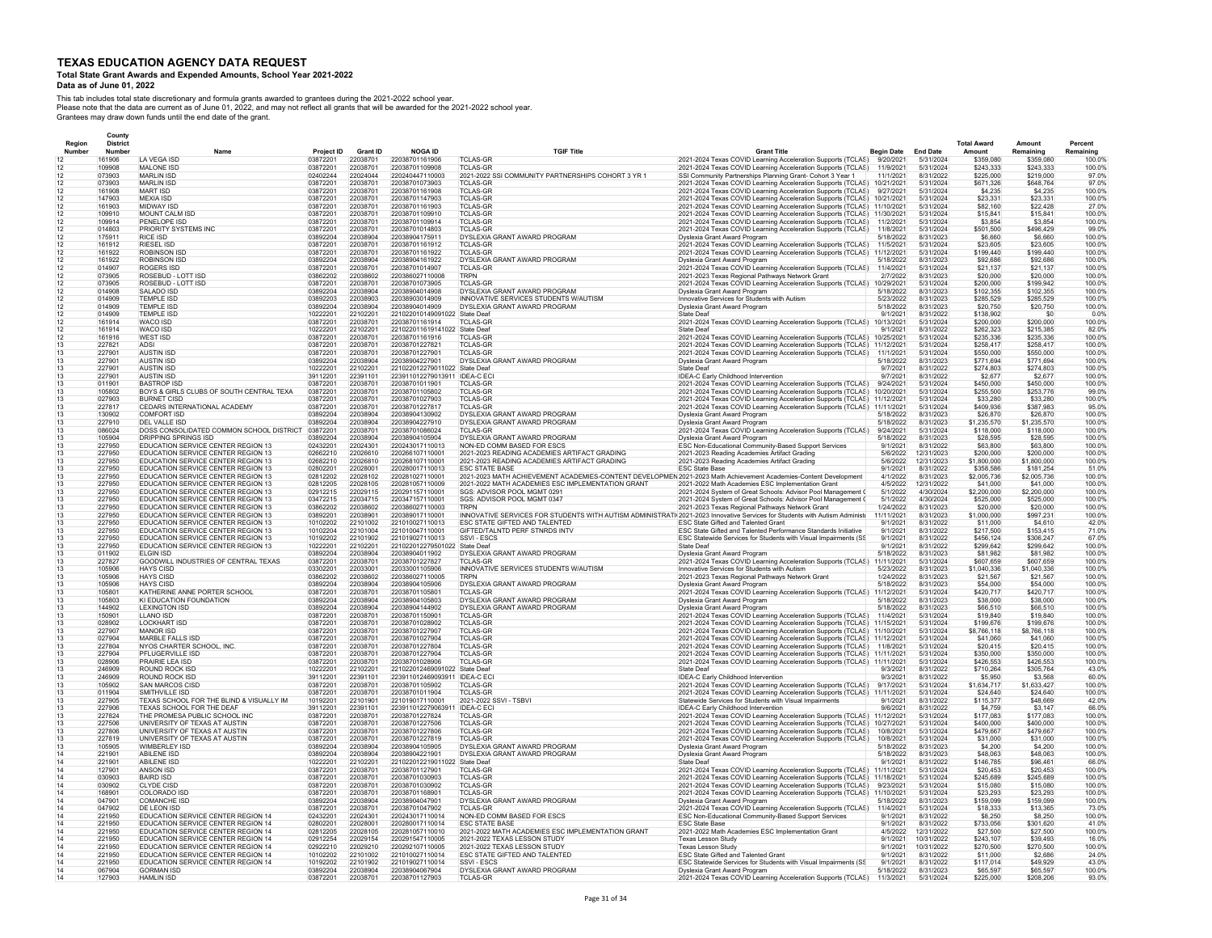## **Total State Grant Awards and Expended Amounts, School Year 2021-2022**

**Data as of June 01, 2022** 

|                  | County                    |                                                                                 |                        |                      |                                                  |                                                                                                                                                             |                                                                                                                              |                          |                          |                              |                          |                      |
|------------------|---------------------------|---------------------------------------------------------------------------------|------------------------|----------------------|--------------------------------------------------|-------------------------------------------------------------------------------------------------------------------------------------------------------------|------------------------------------------------------------------------------------------------------------------------------|--------------------------|--------------------------|------------------------------|--------------------------|----------------------|
| Region<br>Number | <b>District</b><br>Number |                                                                                 |                        | <b>Grant ID</b>      | <b>NOGA ID</b>                                   | <b>TGIF Title</b>                                                                                                                                           | <b>Grant Title</b>                                                                                                           | <b>Begin Date</b>        | <b>End Date</b>          | <b>Total Award</b><br>Amount | Amount<br>Remaining      | Percent<br>Remaining |
|                  | 161906                    | LA VEGA ISD                                                                     | Project ID<br>03872201 | 22038701             | 22038701161906                                   | <b>TCLAS-GR</b>                                                                                                                                             | 2021-2024 Texas COVID Learning Acceleration Supports (TCLAS)                                                                 | 9/20/2021                | 5/31/2024                | \$359,080                    | \$359,080                | 100.09               |
|                  | 109908                    | MALONE ISD                                                                      | 03872201               | 22038701             | 22038701109908                                   | <b>TCI AS-GR</b>                                                                                                                                            | 2021-2024 Texas COVID Learning Acceleration Supports (TCLAS)                                                                 | 11/9/2021                | 5/31/2024                | \$243,333                    | \$243,333                | 100.0%               |
|                  | 073903                    | MARI IN ISD                                                                     | 02402244               | 22024044             | 220240447110003                                  | 2021-2022 SSI COMMUNITY PARTNERSHIPS COHORT 3 YR 1                                                                                                          | SSI Community Partnerships Planning Grant- Cohort 3 Year 1                                                                   | 11/1/2021                | 8/31/2022                | \$225,000                    | \$219,000                | 97.0%                |
|                  | 073903                    | <b>MARLIN ISD</b>                                                               | 03872201               | 22038701<br>22038701 | 22038701073903                                   | <b>TCLAS-GR</b><br><b>TCLAS-GR</b>                                                                                                                          | 2021-2024 Texas COVID Learning Acceleration Supports (TCLAS)                                                                 | 10/21/2021               | 5/31/2024                | \$671.326                    | \$648.764                | 97.0%                |
|                  | 161908<br>147903          | <b>MART ISD</b><br><b>MEXIA ISD</b>                                             | 03872201<br>03872201   | 22038701             | 22038701161908<br>22038701147903                 | <b>TCLAS-GR</b>                                                                                                                                             | 2021-2024 Texas COVID Learning Acceleration Supports (TCLAS)<br>2021-2024 Texas COVID Learning Acceleration Supports (TCLAS) | 9/27/2021<br>10/21/2021  | 5/31/2024<br>5/31/2024   | \$4,235<br>\$23,331          | \$4,235<br>\$23,331      | 100.0%<br>100.0%     |
|                  | 161903                    | <b>MIDWAY ISD</b>                                                               | 03872201               | 22038701             | 22038701161903                                   | TCLAS-GR                                                                                                                                                    | 2021-2024 Texas COVID Learning Acceleration Supports (TCLAS)                                                                 | 11/10/2021               | 5/31/2024                | \$82,160                     | \$22,428                 | 27.0%                |
|                  | 109910                    | <b>MOUNT CALM ISD</b>                                                           | 03872201               | 22038701             | 22038701109910                                   | <b>TCLAS-GR</b>                                                                                                                                             | 2021-2024 Texas COVID Learning Acceleration Supports (TCLAS)                                                                 | 11/30/2021               | 5/31/2024                | \$15,841                     | \$15,841                 | 100.09               |
|                  | 109914                    | PENELOPE ISD                                                                    | 03872201               | 22038701             | 22038701109914                                   | <b>TCLAS-GR</b>                                                                                                                                             | 2021-2024 Texas COVID Learning Acceleration Supports (TCLAS)                                                                 | 11/2/2021                | 5/31/2024                | \$3,854                      | \$3,854                  | 100.0%               |
|                  | 014803<br>175911          | PRIORITY SYSTEMS INC<br><b>RICE ISD</b>                                         | 03872201<br>03892204   | 22038701<br>22038904 | 22038701014803<br>22038904175911                 | <b>TCLAS-GR</b><br>DYSLEXIA GRANT AWARD PROGRAM                                                                                                             | 2021-2024 Texas COVID Learning Acceleration Supports (TCLAS)                                                                 | 11/8/2021<br>5/18/2022   | 5/31/2024<br>8/31/2023   | \$501,500<br>\$6,660         | \$496,429<br>\$6,660     | 99.0%<br>100.0%      |
|                  | 161912                    | <b>RIESEL ISD</b>                                                               | 03872201               | 22038701             | 22038701161912                                   | <b>TCLAS-GR</b>                                                                                                                                             | Dyslexia Grant Award Program<br>2021-2024 Texas COVID Learning Acceleration Supports (TCLAS)                                 | 11/5/2021                | 5/31/2024                | \$23,605                     | \$23,605                 | 100.0%               |
|                  | 161922                    | <b>ROBINSON ISD</b>                                                             | 03872201               | 22038701             | 22038701161922                                   | <b>TCLAS-GF</b>                                                                                                                                             | 2021-2024 Texas COVID Learning Acceleration Supports (TCLAS)                                                                 | 11/12/2021               | 5/31/2024                | \$199,440                    | \$199,440                | 100.0%               |
|                  | 161922                    | <b>ROBINSON ISD</b>                                                             | 03892204               | 22038904             | 22038904161922                                   | DYSLEXIA GRANT AWARD PROGRAM                                                                                                                                | Dyslexia Grant Award Program                                                                                                 | 5/18/2022                | 8/31/2023                | \$92,686                     | \$92,686                 | 100.0%               |
|                  | 014907                    | <b>ROGERS ISD</b>                                                               | 03872201               | 22038701             | 22038701014907                                   | <b>TCLAS-GR</b>                                                                                                                                             | 2021-2024 Texas COVID Learning Acceleration Supports (TCLAS)                                                                 | 11/4/2021                | 5/31/2024                | \$21.137                     | \$21.137                 | 100.0%               |
|                  | 073905<br>073905          | ROSEBUD - LOTT ISD<br>ROSEBUD - LOTT ISD                                        | 03862202<br>03872201   | 22038602<br>22038701 | 220386027110008<br>22038701073905                | <b>TRPN</b><br><b>TCLAS-GE</b>                                                                                                                              | 2021-2023 Texas Regional Pathways Network Grant                                                                              | 2/7/2022<br>10/29/2021   | 8/31/2023<br>5/31/2024   | \$20,000<br>\$200,000        | \$20,000<br>\$199.942    | 100.0%<br>100.0%     |
|                  | 014908                    | SAI ADO ISD                                                                     | 03892204               | 22038904             | 22038904014908                                   | DYSLEXIA GRANT AWARD PROGRAM                                                                                                                                | 2021-2024 Texas COVID Learning Acceleration Supports (TCLAS)<br>Dyslexia Grant Award Program                                 | 5/18/2022                | 8/31/2023                | \$102,355                    | \$102,355                | 100.0%               |
|                  | 014909                    | TEMPLE ISD                                                                      | 03892203               | 22038903             | 22038903014909                                   | INNOVATIVE SERVICES STUDENTS W/AUTISM                                                                                                                       | Innovative Services for Students with Autism                                                                                 | 5/23/2022                | 8/31/2023                | \$285.529                    | \$285,529                | 100.0%               |
|                  | 014909                    | TEMPLE ISD                                                                      | 03892204               | 22038904             | 22038904014909                                   | DYSLEXIA GRANT AWARD PROGRAM                                                                                                                                | Dyslexia Grant Award Program                                                                                                 | 5/18/2022                | 8/31/2023                | \$20,750                     | \$20,750                 | 100.0%               |
|                  | 014909                    | TEMPLE ISD                                                                      | 10222201               | 22102201             | 221022010149091022 State Deaf                    |                                                                                                                                                             | State Deaf                                                                                                                   | 9/1/2021                 | 8/31/2022                | \$138,902                    | \$0                      | 0.0%                 |
|                  | 161914<br>161914          | WACO ISD<br>WACO ISD                                                            | 03872201               | 22038701<br>22102201 | 22038701161914<br>221022011619141022             | <b>TCLAS-GR</b><br>State Deaf                                                                                                                               | 2021-2024 Texas COVID Learning Acceleration Supports (TCLAS)<br>State Deaf                                                   | 10/13/2021<br>9/1/2021   | 5/31/2024<br>8/31/2022   | \$200,000<br>\$262.323       | \$200,000<br>\$215.385   | 100.0%<br>82.0%      |
|                  | 161916                    | WEST ISD                                                                        | 10222201<br>03872201   | 22038701             | 22038701161916                                   | <b>TCLAS-GF</b>                                                                                                                                             | 2021-2024 Texas COVID Learning Acceleration Supports (TCLAS)                                                                 | 10/25/2021               | 5/31/2024                | \$235.336                    | \$235,336                | 100.0%               |
|                  | 227821                    | <b>ADSI</b>                                                                     | 03872201               | 22038701             | 2203870122782                                    | <b>TCLAS-GR</b>                                                                                                                                             | 2021-2024 Texas COVID Learning Acceleration Supports (TCLAS)                                                                 | 11/12/2021               | 5/31/2024                | \$258.417                    | \$258.417                | 100.0%               |
|                  | 227901                    | <b>AUSTIN ISD</b>                                                               | 03872201               | 22038701             | 22038701227901                                   | <b>TCLAS-GR</b>                                                                                                                                             | 2021-2024 Texas COVID Learning Acceleration Supports (TCLAS)                                                                 | 11/1/2021                | 5/31/2024                | \$550,000                    | \$550,000                | 100.0%               |
|                  | 227901                    | <b>AUSTIN ISD</b>                                                               | 03892204               | 22038904             | 22038904227901                                   | DYSLEXIA GRANT AWARD PROGRAM                                                                                                                                | Dyslexia Grant Award Program                                                                                                 | 5/18/2022                | 8/31/2023                | \$771,694                    | \$771,694                | 100.0%               |
|                  | 227901                    | AUSTIN ISD                                                                      | 10222201<br>39112201   | 22102201<br>22391101 | 221022012279011022 State Deaf                    |                                                                                                                                                             | State Deaf                                                                                                                   | 9/7/2021                 | 8/31/2022                | \$274,803<br>\$2,677         | \$274 803<br>\$2,677     | 100.0%               |
|                  | 227901<br>011901          | <b>AUSTIN ISD</b><br><b>BASTROP ISD</b>                                         | 03872201               | 22038701             | 223911012279013911 IDEA-C EC<br>22038701011901   | <b>TCLAS-GR</b>                                                                                                                                             | IDEA-C Early Childhood Intervention<br>2021-2024 Texas COVID Learning Acceleration Supports (TCLAS)                          | 9/7/2021<br>9/24/2021    | 8/31/2022<br>5/31/2024   | \$450,000                    | \$450,000                | 100.0%<br>100.0%     |
|                  | 105802                    | BOYS & GIRLS CLUBS OF SOUTH CENTRAL TEXA                                        | 03872201               | 22038701             | 22038701105802                                   | <b>TCLAS-GR</b>                                                                                                                                             | 2021-2024 Texas COVID Learning Acceleration Supports (TCLAS)                                                                 | 10/20/2021               | 5/31/2024                | \$255,500                    | \$253.776                | 99.0%                |
|                  | 027903                    | <b>BURNET CISD</b>                                                              | 03872201               | 22038701             | 22038701027903                                   | TCLAS-GR                                                                                                                                                    | 2021-2024 Texas COVID Learning Acceleration Supports (TCLAS)                                                                 | 11/12/2021               | 5/31/2024                | \$33,280                     | \$33,280                 | 100.0%               |
|                  | 227817                    | CEDARS INTERNATIONAL ACADEMY                                                    | 03872201               | 22038701             | 22038701227817                                   | <b>TCLAS-GR</b>                                                                                                                                             | 2021-2024 Texas COVID Learning Acceleration Supports (TCLAS)                                                                 | 11/11/2021               | 5/31/2024                | \$409,936                    | \$387.983                | 95.0%                |
|                  | 130902                    | <b>COMFORT ISD</b>                                                              | 03892204               | 22038904             | 22038904130902                                   | DYSLEXIA GRANT AWARD PROGRAM                                                                                                                                | Dyslexia Grant Award Program                                                                                                 | 5/18/2022                | 8/31/2023                | \$26,870                     | \$26,870                 | 100.0%               |
|                  | 227910<br>086024          | DEL VALLE ISD<br>DOSS CONSOLIDATED COMMON SCHOOL DISTRICT                       | 03892204<br>03872201   | 22038904<br>22038701 | 22038904227910<br>22038701086024                 | DYSLEXIA GRANT AWARD PROGRAM<br><b>TCLAS-GR</b>                                                                                                             | Dyslexia Grant Award Program<br>2021-2024 Texas COVID Learning Acceleration Supports (TCLAS)                                 | 5/18/2022<br>9/24/2021   | 8/31/2023<br>5/31/2024   | \$1,235,570<br>\$118,000     | \$1,235,570<br>\$118,000 | 100.0%<br>100.0%     |
|                  | 105904                    | DRIPPING SPRINGS ISD                                                            | 03892204               | 22038904             | 22038904105904                                   | DYSLEXIA GRANT AWARD PROGRAM                                                                                                                                | Dyslexia Grant Award Program                                                                                                 | 5/18/2022                | 8/31/2023                | \$28,595                     | \$28,595                 | 100.0%               |
|                  | 227950                    | EDUCATION SERVICE CENTER REGION 13                                              | 02432201               | 22024301             | 220243017110013                                  | NON-ED COMM BASED FOR ESCS                                                                                                                                  | ESC Non-Educational Community-Based Support Services                                                                         | 9/1/2021                 | 8/31/2022                | \$63,800                     | \$63,800                 | 100.0%               |
|                  | 227950                    | EDUCATION SERVICE CENTER REGION 13                                              | 02662210               | 22026610             | 22026610711000                                   | 2021-2023 READING ACADEMIES ARTIFACT GRADING                                                                                                                | 2021-2023 Reading Academies Artifact Grading                                                                                 | 5/6/2022                 | 12/31/2023               | \$200,000                    | \$200.000                | 100.0%               |
|                  | 227950                    | EDUCATION SERVICE CENTER REGION 13                                              | 02682210               | 22026810             | 22026810711000                                   | 2021-2023 READING ACADEMIES ARTIFACT GRADING                                                                                                                | 2021-2023 Reading Academies Artifact Grading                                                                                 | 5/6/2022                 | 12/31/2023               | \$1,800,000                  | \$1,800,000              | 100.0%               |
|                  | 227950<br>227950          | EDUCATION SERVICE CENTER REGION 13<br><b>EDUCATION SERVICE CENTER REGION 13</b> | 02802201<br>02812202   | 22028001<br>22028102 | 220280017110013<br>220281027110001               | <b>ESC STATE BASE</b><br>2021-2023 MATH ACHIEVEMENT ACADEMIES-CONTENT DEVELOPMEN 2021-2023 Math Achievement Academies-Content Development                   | <b>ESC State Base</b>                                                                                                        | 9/1/2021<br>4/1/2022     | 8/31/2022<br>8/31/2023   | \$358,586<br>\$2,005,736     | \$181.254<br>\$2,005,736 | 51.0%<br>100.0%      |
|                  | 227950                    | <b>EDUCATION SERVICE CENTER REGION 13</b>                                       | 02812205               | 22028105             | 220281057110009                                  | 2021-2022 MATH ACADEMIES ESC IMPLEMENTATION GRANT                                                                                                           | 2021-2022 Math Academies ESC Implementation Grant                                                                            | 4/5/2022                 | 12/31/2022               | \$41,000                     | \$41,000                 | 100.0%               |
|                  | 227950                    | EDUCATION SERVICE CENTER REGION 13                                              | 02912215               | 22029115             | 220291157110001                                  | SGS: ADVISOR POOL MGMT 0291                                                                                                                                 | 2021-2024 System of Great Schools: Advisor Pool Management (                                                                 | 5/1/2022                 | 4/30/2024                | \$2,200,000                  | \$2,200,000              | 100.0%               |
|                  | 227950                    | <b>FDUCATION SERVICE CENTER REGION 13</b>                                       | 03472215               | 22034715             | 220347157110001                                  | SGS: ADVISOR POOL MGMT 0347                                                                                                                                 | 2021-2024 System of Great Schools: Advisor Pool Management (                                                                 | 5/1/2022                 | 4/30/2024                | \$525,000                    | \$525,000                | 100.0%               |
|                  | 227950                    | EDUCATION SERVICE CENTER REGION 13                                              | 03862202               | 22038602             | 220386027110003                                  | <b>TRPN</b>                                                                                                                                                 | 2021-2023 Texas Regional Pathways Network Grant                                                                              | 1/24/2022                | 8/31/2023                | \$20,000                     | \$20,000                 | 100.0%               |
|                  | 227950<br>227950          | EDUCATION SERVICE CENTER REGION 13<br>EDUCATION SERVICE CENTER REGION 13        | 03892201<br>10102202   | 22038901<br>22101002 | 220389017110001<br>221010027110013               | INNOVATIVE SERVICES FOR STUDENTS WITH AUTISM ADMINISTRATI(2021-2023 Innovative Services for Students with Autism Administ(<br>ESC STATE GIFTED AND TALENTED | ESC State Gifted and Talented Grant                                                                                          | 11/11/2021<br>9/1/2021   | 8/31/2023<br>8/31/2022   | \$1,000,000                  | \$997,231                | 100.09<br>42.0%      |
|                  | 227950                    | EDUCATION SERVICE CENTER REGION 13                                              | 10102204               | 22101004             | 22101004711000                                   | GIFTED/TALNTD PERF STNRDS INTV                                                                                                                              | ESC State Gifted and Talented Performance Standards Initiative                                                               | 9/1/2021                 | 8/31/2022                | \$11,000<br>\$217,500        | \$4,610<br>\$153,415     | 71.0%                |
|                  | 227950                    | EDUCATION SERVICE CENTER REGION 13                                              | 10192202               | 22101902             | 221019027110013                                  | SSVI - ESCS                                                                                                                                                 | ESC Statewide Services for Students with Visual Impairments (SS                                                              | 9/1/2021                 | 8/31/2022                | \$456,124                    | \$306.247                | 67.0%                |
|                  | 227950                    | EDUCATION SERVICE CENTER REGION 13                                              | 10222201               | 22102201             | 221022012279501022                               | State Deaf                                                                                                                                                  | State Deaf                                                                                                                   | 9/1/2021                 | 8/31/2022                | \$299,642                    | \$299,642                | 100.0%               |
|                  | 011902                    | FI GIN ISD                                                                      | 03892204               | 22038904             | 22038904011902                                   | DYSLEXIA GRANT AWARD PROGRAM                                                                                                                                | Dyslexia Grant Award Program                                                                                                 | 5/18/2022                | 8/31/2023                | \$81,982                     | \$81,982                 | 100.0%               |
|                  | 227827<br>105906          | GOODWILL INDUSTRIES OF CENTRAL TEXAS<br><b>HAYS CISD</b>                        | 03872201<br>03302201   | 22038701<br>22033001 | 22038701227827<br>22033001105906                 | <b>TCI AS-GR</b><br>INNOVATIVE SERVICES STUDENTS W/AUTISM                                                                                                   | 2021-2024 Texas COVID Learning Acceleration Supports (TCLAS)<br>Innovative Services for Students with Autism                 | 11/11/2021<br>5/23/2022  | 5/31/2024<br>8/31/2023   | \$607 659<br>\$1.040.336     | \$607,659<br>\$1,040,336 | 100.0%<br>100.0%     |
|                  | 105906                    | <b>HAYS CISD</b>                                                                | 03862202               | 22038602             | 220386027110005                                  | <b>TRPN</b>                                                                                                                                                 | 2021-2023 Texas Regional Pathways Network Grant                                                                              | 1/24/2022                | 8/31/2023                | \$21,567                     | \$21.567                 | 100.0%               |
|                  | 105906                    | <b>HAYS CISD</b>                                                                | 03892204               | 22038904             | 22038904105906                                   | DYSLEXIA GRANT AWARD PROGRAM                                                                                                                                | Dyslexia Grant Award Program                                                                                                 | 5/18/2022                | 8/31/2023                | \$54,000                     | \$54,000                 | 100.0%               |
|                  | 105801                    | KATHERINE ANNE PORTER SCHOOL                                                    | 03872201               | 22038701             | 2203870110580                                    | <b>TCLAS-GR</b>                                                                                                                                             | 2021-2024 Texas COVID Learning Acceleration Supports (TCLAS)                                                                 | 11/12/2021               | 5/31/2024                | \$420,717                    | \$420,717                | 100.0%               |
|                  | 105803                    | KI EDUCATION FOUNDATION                                                         | 03892204               | 22038904             | 22038904105803                                   | DYSLEXIA GRANT AWARD PROGRAM                                                                                                                                | Dyslexia Grant Award Program                                                                                                 | 5/18/2022                | 8/31/2023                | \$38,000                     | \$38,000                 | 100.0%               |
|                  | 144902<br>150901          | <b>LEXINGTON ISD</b><br>LLANO ISD                                               | 03892204<br>03872201   | 22038904<br>22038701 | 22038904144902<br>2203870115090                  | DYSLEXIA GRANT AWARD PROGRAM<br><b>TCLAS-GR</b>                                                                                                             | Dyslexia Grant Award Program<br>2021-2024 Texas COVID Learning Acceleration Supports (TCLAS)                                 | 5/18/2022<br>11/4/2021   | 8/31/2023<br>5/31/2024   | \$66,510<br>\$19,840         | \$66,510<br>\$19,840     | 100.0%<br>100.09     |
|                  | 028902                    | LOCKHART ISD                                                                    | 03872201               | 22038701             | 22038701028902                                   | TCLAS-GR                                                                                                                                                    | 2021-2024 Texas COVID Learning Acceleration Supports (TCLAS)                                                                 | 11/15/2021               | 5/31/2024                | \$199,676                    | \$199,676                | 100.09               |
|                  | 227907                    | <b>MANOR ISD</b>                                                                | 03872201               | 22038701             | 22038701227907                                   | <b>TCLAS-GR</b>                                                                                                                                             | 2021-2024 Texas COVID Learning Acceleration Supports (TCLAS)                                                                 | 11/10/2021               | 5/31/2024                | \$8,766,118                  | \$8,766,118              | 100.0%               |
|                  | 027904                    | MARBLE FALLS ISD                                                                | 03872201               | 22038701             | 22038701027904                                   | <b>TCLAS-GF</b>                                                                                                                                             | 2021-2024 Texas COVID Learning Acceleration Supports (TCLAS)                                                                 | 11/12/2021               | 5/31/2024                | \$41,060                     | \$41,060                 | 100.0%               |
|                  | 227804                    | NYOS CHARTER SCHOOL, INC.                                                       | 03872201               | 22038701             | 22038701227804                                   | <b>TCLAS-GR</b>                                                                                                                                             | 2021-2024 Texas COVID Learning Acceleration Supports (TCLAS)                                                                 | 11/8/2021                | 5/31/2024                | \$20,415                     | \$20,415                 | 100.0%               |
|                  | 227904<br>028906          | PFLUGERVILLE ISD<br>PRAIRIE LEA ISD                                             | 03872201<br>03872201   | 22038701<br>22038701 | 22038701227904<br>22038701028906                 | <b>TCLAS-GR</b><br><b>TCLAS-GR</b>                                                                                                                          | 2021-2024 Texas COVID Learning Acceleration Supports (TCLAS)<br>2021-2024 Texas COVID Learning Acceleration Supports (TCLAS) | 11/11/2021<br>11/11/2021 | 5/31/2024<br>5/31/2024   | \$350,000<br>\$426,553       | \$350,000<br>\$426,553   | 100.0%<br>100.0%     |
|                  | 246909                    | ROUND ROCK ISD                                                                  | 10222201               | 22102201             | 221022012469091022 State Deaf                    |                                                                                                                                                             | State Deaf                                                                                                                   | 9/3/2021                 | 8/31/2022                | \$710,264                    | \$305 764                | 43.0%                |
|                  | 246909                    | ROUND ROCK ISD                                                                  | 39112201               | 22391101             | 223911012469093911 IDEA-C EC                     |                                                                                                                                                             | <b>IDEA-C Early Childhood Intervention</b>                                                                                   | 9/3/2021                 | 8/31/2022                | \$5,950                      | \$3,568                  | 60.0%                |
|                  | 105902                    | <b>SAN MARCOS CISD</b>                                                          | 03872201               | 22038701             | 22038701105902                                   | <b>TCI AS-GR</b>                                                                                                                                            | 2021-2024 Texas COVID Learning Acceleration Supports (TCLAS)                                                                 | 9/17/2021                | 5/31/2024                | \$1,634.717                  | \$1,633,427              | 100.0%               |
|                  | 011904                    | SMITHVILLE ISD                                                                  | 03872201               | 22038701             | 22038701011904                                   | <b>TCI AS-GR</b>                                                                                                                                            | 2021-2024 Texas COVID Learning Acceleration Supports (TCLAS)                                                                 | 11/11/2021               | 5/31/2024                | \$24,640                     | \$24,640                 | 100.0%               |
|                  | 227905<br>227906          | TEXAS SCHOOL FOR THE BLIND & VISUALLY IM<br>TEXAS SCHOOL FOR THE DEAF           | 10192201<br>39112201   | 22101901<br>22391101 | 221019017110001<br>223911012279063911 IDEA-C ECI | 2021-2022 SSVI - TSBVI                                                                                                                                      | Statewide Services for Students with Visual Impairments<br>IDEA-C Early Childhood Intervention                               | 9/1/2021<br>9/6/2021     | 8/31/2022<br>8/31/2022   | \$115,377<br>\$4,759         | \$48,669<br>\$3,147      | 42.0%<br>66.0%       |
|                  | 227824                    | THE PROMESA PUBLIC SCHOOL INC                                                   | 03872201               | 22038701             | 22038701227824                                   | <b>TCLAS-GF</b>                                                                                                                                             | 2021-2024 Texas COVID Learning Acceleration Supports (TCLAS)                                                                 | 11/12/2021               | 5/31/2024                | \$177,083                    | \$177.083                | 100.0%               |
|                  | 227506                    | UNIVERSITY OF TEXAS AT AUSTIN                                                   | 0387220                | 22038701             | 22038701227506                                   | <b>TCLAS-GR</b>                                                                                                                                             | 2021-2024 Texas COVID Learning Acceleration Supports (TCLAS)                                                                 | 10/27/2021               | 5/31/2024                | \$400,000                    | \$400,000                | 100.09               |
|                  | 227806                    | UNIVERSITY OF TEXAS AT AUSTIN                                                   | 03872201               | 22038701             | 22038701227806                                   | <b>TCLAS-GR</b>                                                                                                                                             | 2021-2024 Texas COVID Learning Acceleration Supports (TCLAS)                                                                 | 10/8/2021                | 5/31/2024                | \$479.667                    | \$479.667                | 100.0%               |
|                  | 227819<br>105905          | UNIVERSITY OF TEXAS AT AUSTIN<br>WIMBERLEY ISD                                  | 03872201<br>03892204   | 22038701<br>22038904 | 22038701227819<br>22038904105905                 | <b>TCLAS-GR</b><br>DYSLEXIA GRANT AWARD PROGRAM                                                                                                             | 2021-2024 Texas COVID Learning Acceleration Supports (TCLAS)<br>Dyslexia Grant Award Program                                 | 10/8/2021<br>5/18/2022   | 5/31/2024<br>8/31/2023   | \$31,000<br>\$4,200          | \$31,000<br>\$4,200      | 100.0%<br>100.0%     |
|                  | 221901                    | ABILENE ISD                                                                     | 03892204               | 22038904             | 22038904221901                                   | DYSLEXIA GRANT AWARD PROGRAM                                                                                                                                | Dyslexia Grant Award Program                                                                                                 | 5/18/2022                | 8/31/2023                | \$48,063                     | \$48,063                 | 100.0%               |
|                  | 221901                    | <b>ABILENE ISD</b>                                                              | 10222201               | 22102201             | 221022012219011022 State Deaf                    |                                                                                                                                                             | <b>State Deaf</b>                                                                                                            | 9/1/2021                 | 8/31/2022                | \$146,785                    | \$96,461                 | 66.0%                |
|                  | 127901                    | ANSON ISD                                                                       | 03872201               | 22038701             | 22038701127901                                   | <b>TCLAS-GR</b>                                                                                                                                             | 2021-2024 Texas COVID Learning Acceleration Supports (TCLAS)                                                                 | 11/11/2021               | 5/31/2024                | \$20,453                     | \$20,453                 | 100.0%               |
|                  | 030903                    | BAIRD ISD                                                                       | 03872201               | 22038701             | 22038701030903                                   | <b>TCLAS-GR</b>                                                                                                                                             | 2021-2024 Texas COVID Learning Acceleration Supports (TCLAS)                                                                 | 11/18/2021               | 5/31/2024                | \$245.689                    | \$245.689                | 100.0%               |
|                  | 030902<br>168901          | <b>CLYDE CISD</b>                                                               | 03872201               | 22038701<br>22038701 | 22038701030902<br>22038701168901                 | <b>TCLAS-GR</b><br><b>TCLAS-GR</b>                                                                                                                          | 2021-2024 Texas COVID Learning Acceleration Supports (TCLAS)                                                                 | 9/23/2021<br>11/10/2021  | 5/31/2024                | \$15,080<br>\$23,293         | \$15,080<br>\$23.293     | 100.0%<br>100.0%     |
|                  | 047901                    | COLORADO ISD<br><b>COMANCHE ISD</b>                                             | 03872201<br>03892204   | 22038904             | 2203890404790                                    | DYSLEXIA GRANT AWARD PROGRAM                                                                                                                                | 2021-2024 Texas COVID Learning Acceleration Supports (TCLAS)<br>Dyslexia Grant Award Program                                 | 5/18/2022                | 5/31/2024<br>8/31/2023   | \$159,099                    | \$159,099                | 100.0%               |
|                  | 047902                    | DE LEON ISD                                                                     | 03872201               | 22038701             | 22038701047902                                   | <b>TCLAS-GR</b>                                                                                                                                             | 2021-2024 Texas COVID Learning Acceleration Supports (TCLAS)                                                                 | 11/4/2021                | 5/31/2024                | \$18,333                     | \$13,365                 | 73.0%                |
|                  | 221950                    | EDUCATION SERVICE CENTER REGION 14                                              | 02432201               | 22024301             | 220243017110014                                  | NON-ED COMM BASED FOR ESCS                                                                                                                                  | ESC Non-Educational Community-Based Support Services                                                                         | 9/1/2021                 | 8/31/2022                | \$8,250                      | \$8,250                  | 100.0%               |
|                  | 221950                    | EDUCATION SERVICE CENTER REGION 14                                              | 02802201               | 22028001             | 220280017110014                                  | <b>ESC STATE BASE</b>                                                                                                                                       | <b>ESC State Base</b>                                                                                                        | 9/1/2021                 | 8/31/2022                | \$733,056                    | \$301,620                | 41.0%                |
|                  | 221950<br>221950          | EDUCATION SERVICE CENTER REGION 14<br>EDUCATION SERVICE CENTER REGION 14        | 02812205<br>02912254   | 22028105<br>22029154 | 220281057110010<br>220291547110005               | 2021-2022 MATH ACADEMIES ESC IMPLEMENTATION GRANT<br>2021-2022 TEXAS LESSON STUDY                                                                           | 2021-2022 Math Academies ESC Implementation Grant<br><b>Texas Lesson Study</b>                                               | 4/5/2022<br>9/1/2021     | 12/31/2022<br>10/31/2022 | \$27,500<br>\$243.107        | \$27,500<br>\$39,493     | 100.0%<br>16.0%      |
|                  | 221950                    | EDUCATION SERVICE CENTER REGION 14                                              | 02922210               | 22029210             | 220292107110005                                  | 2021-2022 TEXAS LESSON STUDY                                                                                                                                | <b>Texas Lesson Study</b>                                                                                                    | 9/1/2021                 | 10/31/2022               | \$270,500                    | \$270,500                | 100.0%               |
|                  | 221950                    | EDUCATION SERVICE CENTER REGION 14                                              | 10102202               | 22101002             | 221010027110014                                  | ESC STATE GIFTED AND TALENTED                                                                                                                               | ESC State Gifted and Talented Grant                                                                                          | 9/1/2021                 | 8/31/2022                | \$11,000                     | \$2,686                  | 24.0%                |
|                  | 221950                    | EDUCATION SERVICE CENTER REGION 14                                              | 10192202               | 22101902             | 221019027110014                                  | SSVI - FSCS                                                                                                                                                 | ESC Statewide Services for Students with Visual Impairments (SS                                                              | 9/1/2021                 | 8/31/2022                | \$117,014                    | \$49,929                 | 43.0%                |
|                  | 067904                    | <b>GORMAN ISD</b>                                                               | 03892204               | 22038904             | 22038904067904                                   | DYSLEXIA GRANT AWARD PROGRAM                                                                                                                                | Dyslexia Grant Award Program                                                                                                 | 5/18/2022                | 8/31/2023                | \$65,597                     | \$65,597                 | 100.0%               |
|                  | 127903                    | <b>HAMLIN ISD</b>                                                               | 03872201               | 22038701             | 22038701127903                                   | <b>TCLAS-GR</b>                                                                                                                                             | 2021-2024 Texas COVID Learning Acceleration Supports (TCLAS)                                                                 | 11/3/2021                | 5/31/2024                | \$225,000                    | \$208.206                | 93.0%                |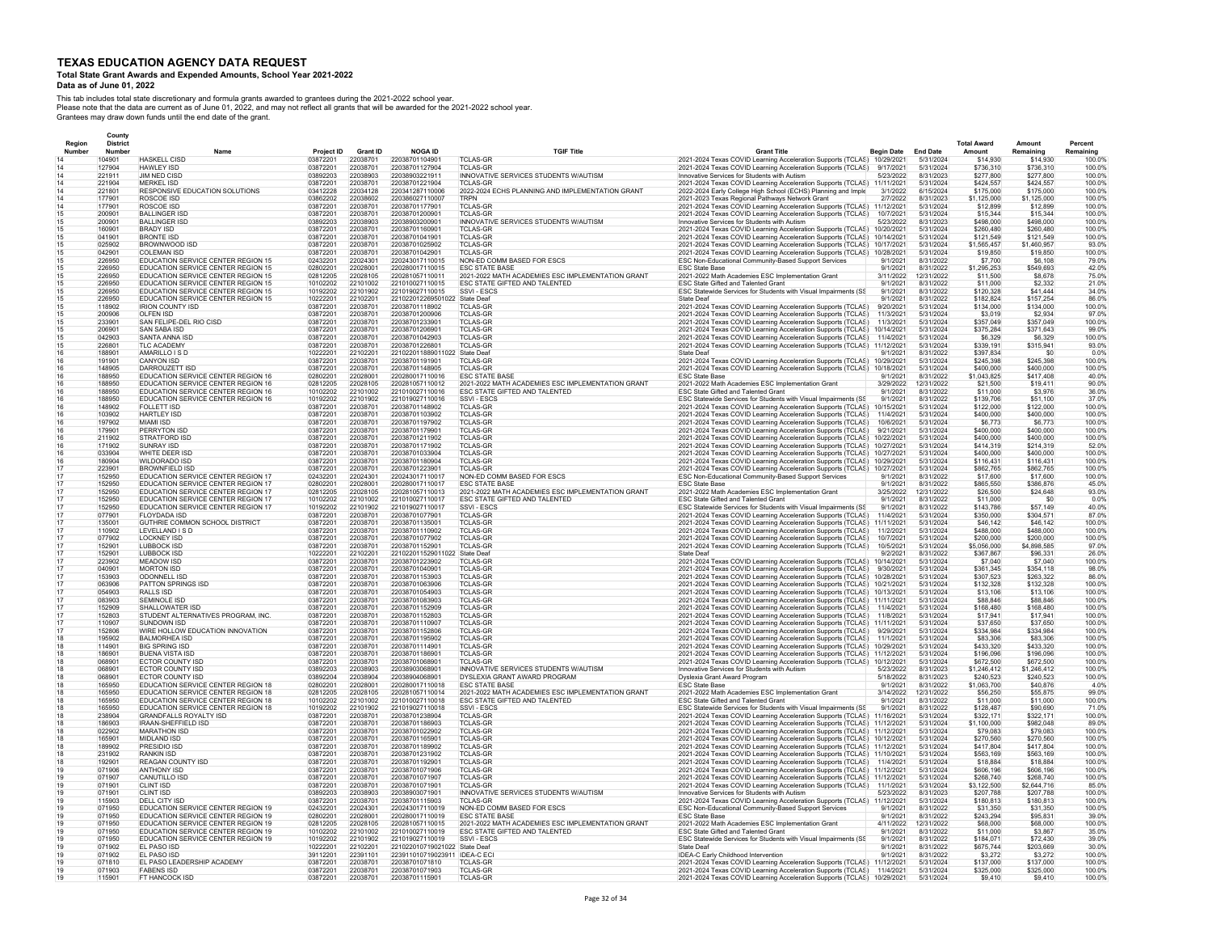### **Total State Grant Awards and Expended Amounts, School Year 2021-2022**

### **Data as of June 01, 2022**

|        | County           |                                                                          |                        |                             |                                                 |                                                                                    |                                                                                                                                 |                                 |                              |                          |                          |                     |
|--------|------------------|--------------------------------------------------------------------------|------------------------|-----------------------------|-------------------------------------------------|------------------------------------------------------------------------------------|---------------------------------------------------------------------------------------------------------------------------------|---------------------------------|------------------------------|--------------------------|--------------------------|---------------------|
| Region | <b>District</b>  |                                                                          |                        |                             |                                                 |                                                                                    |                                                                                                                                 |                                 |                              | <b>Total Award</b>       | Amount                   | Percent             |
| Number | Number<br>104901 | <b>HASKELL CISD</b>                                                      | Project ID<br>03872201 | <b>Grant ID</b><br>22038701 | <b>NOGA ID</b><br>22038701104901                | <b>TGIF Title</b><br><b>TCLAS-GR</b>                                               | <b>Grant Title</b><br>2021-2024 Texas COVID Learning Acceleration Supports (TCLAS)                                              | <b>Begin Date</b><br>10/29/2021 | <b>End Date</b><br>5/31/2024 | Amount<br>\$14,930       | Remaining<br>\$14,930    | Remaining<br>100.09 |
|        | 127904           | HAWLEY ISD                                                               | 03872201               | 22038701                    | 22038701127904                                  | <b>TCI AS-GR</b>                                                                   | 2021-2024 Texas COVID Learning Acceleration Supports (TCLAS)                                                                    | 9/17/2021                       | 5/31/2024                    | \$736.310                | \$736,310                | 100.0%              |
|        | 221911           | JIM NED CISD                                                             | 03892203               | 22038903                    | 22038903221911                                  | INNOVATIVE SERVICES STUDENTS W/AUTISM                                              | Innovative Services for Students with Autism                                                                                    | 5/23/2022                       | 8/31/2023                    | \$277,800                | \$277,800                | 100.0%              |
|        | 221904           | <b>MERKEL ISD</b>                                                        | 03872201               | 22038701                    | 22038701221904                                  | <b>TCLAS-GR</b>                                                                    | 2021-2024 Texas COVID Learning Acceleration Supports (TCLAS)                                                                    | 11/11/2021                      | 5/31/2024                    | \$424.557                | \$424.557                | 100.0%              |
|        | 221801<br>177901 | RESPONSIVE EDUCATION SOLUTIONS<br><b>ROSCOE ISD</b>                      | 03412228<br>03862202   | 22034128<br>22038602        | 220341287110006<br>22038602711000               | 2022-2024 ECHS PLANNING AND IMPLEMENTATION GRANT<br><b>TRPN</b>                    | 2022-2024 Early College High School (ECHS) Planning and Imple                                                                   | 3/1/2022<br>2/7/2022            | 6/15/2024<br>8/31/2023       | \$175,000<br>\$1,125,000 | \$175,000<br>\$1,125,000 | 100.0%<br>100.0%    |
|        | 177901           | <b>ROSCOE ISD</b>                                                        | 03872201               | 22038701                    | 2203870117790                                   | TCLAS-GR                                                                           | 2021-2023 Texas Regional Pathways Network Grant<br>2021-2024 Texas COVID Learning Acceleration Supports (TCLAS)                 | 11/12/2021                      | 5/31/2024                    | \$12,899                 | \$12,899                 | 100.0%              |
|        | 200901           | <b>BALLINGER ISD</b>                                                     | 03872201               | 22038701                    | 2203870120090                                   | <b>TCLAS-GF</b>                                                                    | 2021-2024 Texas COVID Learning Acceleration Supports (TCLAS)                                                                    | 10/7/2021                       | 5/31/2024                    | \$15,344                 | \$15,344                 | 100.09              |
|        | 200901           | <b>BALLINGER ISE</b>                                                     | 03892203               | 22038903                    | 2203890320090                                   | INNOVATIVE SERVICES STUDENTS W/AUTISM                                              | Innovative Services for Students with Autism                                                                                    | 5/23/2022                       | 8/31/2023                    | \$498,000                | \$498,000                | 100.0%              |
|        | 160901<br>041901 | <b>BRADY ISD</b><br><b>BRONTE ISD</b>                                    | 03872201               | 22038701                    | 2203870116090<br>2203870104190                  | <b>TCLAS-GR</b>                                                                    | 2021-2024 Texas COVID Learning Acceleration Supports (TCLAS)                                                                    | 10/20/2021<br>10/14/2021        | 5/31/2024<br>5/31/2024       | \$260,480                | \$260,480                | 100.09<br>100.0%    |
|        | 025902           | BROWNWOOD ISD                                                            | 03872201<br>03872201   | 22038701<br>22038701        | 22038701025902                                  | TCLAS-GR<br><b>TCLAS-GR</b>                                                        | 2021-2024 Texas COVID Learning Acceleration Supports (TCLAS)<br>2021-2024 Texas COVID Learning Acceleration Supports (TCLAS)    | 10/17/2021                      | 5/31/2024                    | \$121,549<br>\$1,565,457 | \$121,549<br>\$1,460,957 | 93.0%               |
|        | 042901           | <b>COLEMAN ISD</b>                                                       | 03872201               | 22038701                    | 22038701042901                                  | <b>TCLAS-GF</b>                                                                    | 2021-2024 Texas COVID Learning Acceleration Supports (TCLAS)                                                                    | 10/28/2021                      | 5/31/2024                    | \$19,850                 | \$19,850                 | 100.0%              |
|        | 226950           | EDUCATION SERVICE CENTER REGION 15                                       | 02432201               | 22024301                    | 220243017110015                                 | NON-ED COMM BASED FOR ESCS                                                         | ESC Non-Educational Community-Based Support Services                                                                            | 9/1/2021                        | 8/31/2022                    | \$7,700                  | \$6,108                  | 79.0%               |
|        | 226950<br>226950 | EDUCATION SERVICE CENTER REGION 15                                       | 02802201               | 22028001                    | 220280017110015                                 | <b>ESC STATE BASE</b>                                                              | <b>ESC State Base</b>                                                                                                           | 9/1/2021                        | 8/31/2022                    | \$1,295.253              | \$549,693                | 42.0%               |
|        | 226950           | EDUCATION SERVICE CENTER REGION 15<br>FDUCATION SERVICE CENTER REGION 15 | 02812205<br>10102202   | 22028105<br>22101002        | 220281057110011<br>221010027110015              | 2021-2022 MATH ACADEMIES ESC IMPLEMENTATION GRANT<br>ESC STATE GIFTED AND TALENTED | 2021-2022 Math Academies ESC Implementation Grant<br><b>FSC State Gifted and Talented Grant</b>                                 | 3/11/2022<br>9/1/2021           | 12/31/2022<br>8/31/2022      | \$11,500<br>\$11,000     | \$8,678<br>\$2,332       | 75.0%<br>21.0%      |
|        | 226950           | <b>FDUCATION SERVICE CENTER REGION 15</b>                                | 10192202               | 22101902                    | 221019027110015                                 | SSVI - FSCS                                                                        | ESC Statewide Services for Students with Visual Impairments (SS                                                                 | 9/1/2021                        | 8/31/2022                    | \$120,328                | S41 444                  | 34.0%               |
|        | 226950           | EDUCATION SERVICE CENTER REGION 15                                       | 10222201               | 22102201                    | 221022012269501022 State Deaf                   |                                                                                    | <b>State Deaf</b>                                                                                                               | 9/1/2021                        | 8/31/2022                    | \$182,824                | \$157,254                | 86.0%               |
|        | 118902           | <b>IRION COUNTY ISD</b>                                                  | 03872201               | 22038701                    | 22038701118902                                  | <b>TCLAS-GR</b>                                                                    | 2021-2024 Texas COVID Learning Acceleration Supports (TCLAS)                                                                    | 9/20/2021                       | 5/31/2024                    | \$134,000                | \$134,000                | 100.0%              |
|        | 200906           | OLFEN ISD                                                                | 03872201               | 22038701                    | 22038701200906                                  | TCLAS-GR                                                                           | 2021-2024 Texas COVID Learning Acceleration Supports (TCLAS)                                                                    | 11/3/2021                       | 5/31/2024                    | \$3,019                  | \$2,934                  | 97.0%               |
|        | 233901<br>206901 | SAN FELIPE-DEL RIO CISD<br>SAN SABA ISD                                  | 03872201<br>03872201   | 22038701<br>22038701        | 22038701233901<br>22038701206901                | TCLAS-GR<br><b>TCLAS-GR</b>                                                        | 2021-2024 Texas COVID Learning Acceleration Supports (TCLAS)<br>2021-2024 Texas COVID Learning Acceleration Supports (TCLAS)    | 11/3/2021<br>10/14/2021         | 5/31/2024<br>5/31/2024       | \$357,049<br>\$375,284   | \$357,049<br>\$371,643   | 100.0%<br>99.0%     |
|        | 042903           | SANTA ANNA ISD                                                           | 03872201               | 22038701                    | 22038701042903                                  | <b>TCLAS-GR</b>                                                                    | 2021-2024 Texas COVID Learning Acceleration Supports (TCLAS)                                                                    | 11/4/2021                       | 5/31/2024                    | \$6,329                  | \$6,329                  | 100.0%              |
|        | 22680            | <b>TLC ACADEMY</b>                                                       | 03872201               | 22038701                    | 2203870122680                                   | <b>TCLAS-GR</b>                                                                    | 2021-2024 Texas COVID Learning Acceleration Supports (TCLAS)                                                                    | 11/12/2021                      | 5/31/2024                    | \$339,191                | \$315,941                | 93.0%               |
|        | 188901           | AMARILLO I S D                                                           | 10222201               | 22102201                    | 221022011889011022 State Deaf                   |                                                                                    | State Deaf                                                                                                                      | 9/1/2021                        | 8/31/2022                    | \$397,834                | \$0                      | 0.0%                |
|        | 191901<br>148905 | <b>CANYON ISD</b><br>DARROUZETT ISD                                      | 03872201<br>03872201   | 22038701<br>22038701        | 22038701191901                                  | <b>TCLAS-GR</b><br><b>TCLAS-GR</b>                                                 | 2021-2024 Texas COVID Learning Acceleration Supports (TCLAS)                                                                    | 10/29/2021<br>10/18/2021        | 5/31/2024<br>5/31/2024       | \$245,398<br>\$400,000   | \$245,398                | 100.0%<br>100.0%    |
|        | 188950           | EDUCATION SERVICE CENTER REGION 16                                       | 02802201               | 22028001                    | 22038701148905<br>220280017110016               | <b>ESC STATE BASE</b>                                                              | 2021-2024 Texas COVID Learning Acceleration Supports (TCLAS)<br><b>ESC State Base</b>                                           | 9/1/2021                        | 8/31/2022                    | \$1,043,825              | \$400,000<br>\$417,408   | 40.0%               |
|        | 188950           | EDUCATION SERVICE CENTER REGION 16                                       | 02812205               | 22028105                    | 220281057110012                                 | 2021-2022 MATH ACADEMIES ESC IMPLEMENTATION GRANT                                  | 2021-2022 Math Academies ESC Implementation Grant                                                                               | 3/29/2022                       | 12/31/2022                   | \$21,500                 | \$19,411                 | 90.0%               |
|        | 188950           | EDUCATION SERVICE CENTER REGION 16                                       | 10102202               | 22101002                    | 221010027110016                                 | ESC STATE GIFTED AND TALENTED                                                      | ESC State Gifted and Talented Grant                                                                                             | 9/1/2021                        | 8/31/2022                    | \$11,000                 | \$3,976                  | 36.0%               |
|        | 188950           | EDUCATION SERVICE CENTER REGION 16                                       | 10192202               | 22101902                    | 221019027110016                                 | SSVI - ESCS                                                                        | ESC Statewide Services for Students with Visual Impairments (SS                                                                 | 9/1/2021                        | 8/31/2022                    | \$139,706                | \$51,100                 | 37.0%               |
|        | 148902           | <b>FOLLETT ISD</b>                                                       | 03872201               | 22038701                    | 22038701148902                                  | TCLAS-GR                                                                           | 2021-2024 Texas COVID Learning Acceleration Supports (TCLAS)                                                                    | 10/15/2021                      | 5/31/2024                    | \$122,000                | \$122,000                | 100.0%              |
|        | 103902<br>197902 | <b>HARTLEY ISD</b><br><b>MIAMI ISD</b>                                   | 03872201<br>03872201   | 22038701<br>22038701        | 22038701103902<br>22038701197902                | TCLAS-GR<br><b>TCLAS-GR</b>                                                        | 2021-2024 Texas COVID Learning Acceleration Supports (TCLAS)<br>2021-2024 Texas COVID Learning Acceleration Supports (TCLAS)    | 11/4/2021<br>10/6/2021          | 5/31/2024<br>5/31/2024       | \$400,000<br>\$6,773     | \$400,000<br>\$6,773     | 100.0%<br>100.0%    |
|        | 179901           | PERRYTON ISD                                                             | 03872201               | 22038701                    | 2203870117990                                   | TCLAS-GR                                                                           | 2021-2024 Texas COVID Learning Acceleration Supports (TCLAS)                                                                    | 9/21/2021                       | 5/31/2024                    | \$400,000                | \$400,000                | 100.0%              |
|        | 211902           | STRATFORD ISD                                                            | 03872201               | 22038701                    | 22038701211902                                  | <b>TCLAS-GF</b>                                                                    | 2021-2024 Texas COVID Learning Acceleration Supports (TCLAS)                                                                    | 10/22/2021                      | 5/31/2024                    | \$400,000                | \$400,000                | 100.0%              |
|        | 171902           | <b>SUNRAY ISD</b>                                                        | 03872201               | 22038701                    | 22038701171902                                  | TCLAS-GR                                                                           | 2021-2024 Texas COVID Learning Acceleration Supports (TCLAS)                                                                    | 10/27/2021                      | 5/31/2024                    | \$414.319                | \$214,319                | 52.0%               |
|        | 033904           | WHITE DEER ISD                                                           | 03872201               | 22038701                    | 22038701033904                                  | <b>TCLAS-GR</b>                                                                    | 2021-2024 Texas COVID Learning Acceleration Supports (TCLAS)                                                                    | 10/27/2021                      | 5/31/2024                    | \$400,000                | \$400,000                | 100.0%              |
|        | 180904<br>223901 | WILDORADO ISD<br><b>BROWNFIELD ISD</b>                                   | 03872201<br>03872201   | 22038701<br>22038701        | 22038701180904<br>22038701223901                | <b>TCLAS-GR</b><br><b>TCLAS-GR</b>                                                 | 2021-2024 Texas COVID Learning Acceleration Supports (TCLAS)<br>2021-2024 Texas COVID Learning Acceleration Supports (TCLAS)    | 10/29/2021<br>10/27/2021        | 5/31/2024<br>5/31/2024       | \$116,431<br>\$862,765   | \$116,431<br>\$862,765   | 100.0%<br>100.0%    |
|        | 152950           | EDUCATION SERVICE CENTER REGION 17                                       | 02432201               | 22024301                    | 220243017110017                                 | NON-ED COMM BASED FOR ESCS                                                         | ESC Non-Educational Community-Based Support Services                                                                            | 9/1/2021                        | 8/31/2022                    | \$17,600                 | \$17,600                 | 100.0%              |
|        | 152950           | <b>EDUCATION SERVICE CENTER REGION 17</b>                                | 02802201               | 22028001                    | 220280017110017                                 | <b>FSC STATE BASE</b>                                                              | <b>FSC State Base</b>                                                                                                           | 9/1/2021                        | 8/31/2022                    | \$865 550                | \$386,876                | 45.0%               |
|        | 152950           | EDUCATION SERVICE CENTER REGION 17                                       | 02812205               | 22028105                    | 220281057110013                                 | 2021-2022 MATH ACADEMIES ESC IMPLEMENTATION GRANT                                  | 2021-2022 Math Academies ESC Implementation Grant                                                                               | 3/25/2022                       | 12/31/2022                   | \$26,500                 | \$24,648                 | 93.0%               |
|        | 152950           | EDUCATION SERVICE CENTER REGION 17                                       | 10102202               | 22101002                    | 22101002711001                                  | ESC STATE GIFTED AND TALENTED                                                      | ESC State Gifted and Talented Grant                                                                                             | 9/1/2021                        | 8/31/2022                    | \$11,000                 | \$0                      | 0.0%                |
|        | 152950<br>077901 | EDUCATION SERVICE CENTER REGION 17<br>FLOYDADA ISD                       | 10192202<br>03872201   | 22101902<br>22038701        | 221019027110017<br>22038701077901               | SSVI - ESCS<br>TCLAS-GR                                                            | ESC Statewide Services for Students with Visual Impairments (SS<br>2021-2024 Texas COVID Learning Acceleration Supports (TCLAS) | 9/1/2021<br>11/4/2021           | 8/31/2022<br>5/31/2024       | \$143,786<br>\$350,000   | \$57,149<br>\$304,571    | 40.0%<br>87.0%      |
|        | 135001           | GUTHRIE COMMON SCHOOL DISTRICT                                           | 03872201               | 22038701                    | 2203870113500                                   | <b>TCLAS-GF</b>                                                                    | 2021-2024 Texas COVID Learning Acceleration Supports (TCLAS)                                                                    | 11/11/2021                      | 5/31/2024                    | \$46,142                 | \$46,142                 | 100.0%              |
|        | 110902           | LEVELLAND IS D                                                           | 03872201               | 22038701                    | 22038701110902                                  | <b>TCLAS-GR</b>                                                                    | 2021-2024 Texas COVID Learning Acceleration Supports (TCLAS)                                                                    | 11/2/2021                       | 5/31/2024                    | \$488,000                | \$488,000                | 100.0%              |
|        | 077902           | <b>LOCKNEY ISD</b>                                                       | 03872201               | 22038701                    | 22038701077902                                  | <b>TCLAS-GR</b>                                                                    | 2021-2024 Texas COVID Learning Acceleration Supports (TCLAS)                                                                    | 10/7/2021                       | 5/31/2024                    | \$200,000                | \$200.000                | 100.0%              |
|        | 152901<br>152901 | LUBBOCK ISD<br>LUBBOCK ISD                                               | 03872201<br>10222201   | 22038701<br>22102201        | 22038701152901<br>221022011529011022 State Deaf | <b>TCLAS-GR</b>                                                                    | 2021-2024 Texas COVID Learning Acceleration Supports (TCLAS)<br>State Deaf                                                      | 10/5/2021<br>9/2/2021           | 5/31/2024<br>8/31/2022       | \$5,056,000<br>\$367,867 | \$4,898,585<br>\$96,331  | 97.0%<br>26.0%      |
|        | 223902           | MFADOW ISD                                                               | 03872201               | 22038701                    | 22038701223902                                  | <b>TCLAS-GR</b>                                                                    | 2021-2024 Texas COVID Learning Acceleration Supports (TCLAS)                                                                    | 10/14/2021                      | 5/31/2024                    | \$7,040                  | \$7,040                  | 100.0%              |
|        | 040901           | <b>MORTON ISD</b>                                                        | 03872201               | 22038701                    | 2203870104090                                   | <b>TCLAS-GR</b>                                                                    | 2021-2024 Texas COVID Learning Acceleration Supports (TCLAS)                                                                    | 9/30/2021                       | 5/31/2024                    | \$361,345                | \$354.118                | 98.0%               |
|        | 153903           | ODONNELL ISD                                                             | 03872201               | 22038701                    | 22038701153903                                  | <b>TCLAS-GR</b>                                                                    | 2021-2024 Texas COVID Learning Acceleration Supports (TCLAS)                                                                    | 10/28/2021                      | 5/31/2024                    | \$307,523                | \$263.322                | 86.0%               |
|        | 063906           | PATTON SPRINGS ISD                                                       | 03872201               | 22038701                    | 22038701063906                                  | <b>TCLAS-GR</b>                                                                    | 2021-2024 Texas COVID Learning Acceleration Supports (TCLAS)                                                                    | 10/21/2021                      | 5/31/2024                    | \$132,328                | \$132,328                | 100.0%              |
|        | 054903<br>083903 | <b>RALLS ISD</b><br>SEMINOLE ISD                                         | 03872201<br>03872201   | 22038701<br>22038701        | 22038701054903<br>22038701083903                | TCLAS-GR<br><b>TCLAS-GR</b>                                                        | 2021-2024 Texas COVID Learning Acceleration Supports (TCLAS)<br>2021-2024 Texas COVID Learning Acceleration Supports (TCLAS)    | 10/13/2021<br>11/11/2021        | 5/31/2024<br>5/31/2024       | \$13,106<br>\$88,846     | \$13,106<br>\$88,846     | 100.0%<br>100.0%    |
|        | 152909           | SHALLOWATER ISD                                                          | 03872201               | 22038701                    | 22038701152909                                  | TCLAS-GR                                                                           | 2021-2024 Texas COVID Learning Acceleration Supports (TCLAS)                                                                    | 11/4/2021                       | 5/31/2024                    | \$168,480                | \$168,480                | 100.0%              |
|        | 152803           | STUDENT ALTERNATIVES PROGRAM, INC.                                       | 03872201               | 22038701                    | 22038701152803                                  | <b>TCLAS-GR</b>                                                                    | 2021-2024 Texas COVID Learning Acceleration Supports (TCLAS)                                                                    | 11/8/2021                       | 5/31/2024                    | \$17,941                 | \$17,941                 | 100.0%              |
|        | 110907           | SUNDOWN ISD                                                              | 03872201               | 22038701                    | 22038701110907                                  | <b>TCLAS-GR</b>                                                                    | 2021-2024 Texas COVID Learning Acceleration Supports (TCLAS)                                                                    | 11/11/2021                      | 5/31/2024                    | \$37,650                 | \$37,650                 | 100.0%              |
|        | 152806<br>195902 | WIRE HOLLOW EDUCATION INNOVATION                                         | 03872201               | 22038701<br>22038701        | 22038701152806<br>22038701195902                | <b>TCLAS-GR</b>                                                                    | 2021-2024 Texas COVID Learning Acceleration Supports (TCLAS)                                                                    | 9/29/2021<br>11/1/2021          | 5/31/2024                    | \$334,984                | \$334,984<br>\$83,306    | 100.0%<br>100.0%    |
|        | 114901           | <b>BALMORHEA ISD</b><br><b>BIG SPRING ISD</b>                            | 03872201<br>03872201   | 22038701                    | 2203870111490                                   | <b>TCLAS-GR</b><br><b>TCLAS-GR</b>                                                 | 2021-2024 Texas COVID Learning Acceleration Supports (TCLAS)<br>2021-2024 Texas COVID Learning Acceleration Supports (TCLAS)    | 10/29/2021                      | 5/31/2024<br>5/31/2024       | \$83,306<br>\$433,320    | \$433,320                | 100.0%              |
|        | 186901           | <b>BUENA VISTA ISD</b>                                                   | 03872201               | 22038701                    | 2203870118690                                   | <b>TCLAS-GR</b>                                                                    | 2021-2024 Texas COVID Learning Acceleration Supports (TCLAS)                                                                    | 11/12/2021                      | 5/31/2024                    | \$196,096                | \$196.096                | 100.0%              |
|        | 068901           | ECTOR COUNTY ISD                                                         | 03872201               | 22038701                    | 2203870106890                                   | <b>TCLAS-GR</b>                                                                    | 2021-2024 Texas COVID Learning Acceleration Supports (TCLAS)                                                                    | 10/12/2021                      | 5/31/2024                    | \$672,500                | \$672,500                | 100.0%              |
|        | 068901           | <b>FCTOR COUNTY ISD</b>                                                  | 03892203               | 22038903                    | 22038903068901                                  | INNOVATIVE SERVICES STUDENTS W/AUTISM                                              | Innovative Services for Students with Autism                                                                                    | 5/23/2022                       | 8/31/2023                    | \$1 246 412              | \$1 246 412              | 100.0%              |
|        | 068901<br>165950 | <b>ECTOR COUNTY ISD</b>                                                  | 03892204<br>02802201   | 22038904<br>22028001        | 22038904068901<br>220280017110018               | DYSLEXIA GRANT AWARD PROGRAM<br><b>FSC STATE BASE</b>                              | Dyslexia Grant Award Program<br><b>ESC State Base</b>                                                                           | 5/18/2022<br>9/1/2021           | 8/31/2023                    | \$240.523                | \$240,523<br>\$40,876    | 100.0%<br>4.0%      |
|        | 165950           | EDUCATION SERVICE CENTER REGION 18<br>EDUCATION SERVICE CENTER REGION 18 | 02812205               | 22028105                    | 220281057110014                                 | 2021-2022 MATH ACADEMIES ESC IMPLEMENTATION GRANT                                  | 2021-2022 Math Academies ESC Implementation Grant                                                                               | 3/14/2022                       | 8/31/2022<br>12/31/2022      | \$1,063,700<br>\$56,250  | \$55,875                 | 99.0%               |
|        | 165950           | EDUCATION SERVICE CENTER REGION 18                                       | 10102202               | 22101002                    | 221010027110018                                 | ESC STATE GIFTED AND TALENTED                                                      | ESC State Gifted and Talented Grant                                                                                             | 9/1/2021                        | 8/31/2022                    | \$11,000                 | \$11,000                 | 100.0%              |
|        | 165950           | EDUCATION SERVICE CENTER REGION 18                                       | 10192202               | 22101902                    | 221019027110018                                 | SSVI - ESCS                                                                        | ESC Statewide Services for Students with Visual Impairments (SS                                                                 | 9/1/2021                        | 8/31/2022                    | \$128,487                | \$90,690                 | 71.0%               |
|        | 238904           | <b>GRANDFALLS ROYALTY ISD</b>                                            | 03872201               | 22038701                    | 22038701238904                                  | <b>TCLAS-GR</b>                                                                    | 2021-2024 Texas COVID Learning Acceleration Supports (TCLAS)                                                                    | 11/16/2021                      | 5/31/2024                    | \$322,171                | \$322.171                | 100.0%              |
|        | 186903<br>022902 | IRAAN-SHEFFIELD ISD<br><b>MARATHON ISD</b>                               | 03872201<br>03872201   | 22038701<br>22038701        | 22038701186903<br>22038701022902                | <b>TCLAS-GR</b><br><b>TCLAS-GR</b>                                                 | 2021-2024 Texas COVID Learning Acceleration Supports (TCLAS)<br>2021-2024 Texas COVID Learning Acceleration Supports (TCLAS)    | 11/12/2021<br>11/12/2021        | 5/31/2024<br>5/31/2024       | \$1,100,000<br>\$79,083  | \$982.048<br>\$79,083    | 89.0%<br>100.0%     |
|        | 165901           | MIDLAND ISD                                                              | 03872201               | 22038701                    | 22038701165901                                  | <b>TCLAS-GR</b>                                                                    | 2021-2024 Texas COVID Learning Acceleration Supports (TCLAS)                                                                    | 10/12/2021                      | 5/31/2024                    | \$270,560                | \$270,560                | 100.0%              |
|        | 189902           | PRESIDIO ISD                                                             | 03872201               | 22038701                    | 22038701189902                                  | <b>TCLAS-GR</b>                                                                    | 2021-2024 Texas COVID Learning Acceleration Supports (TCLAS)                                                                    | 11/12/2021                      | 5/31/2024                    | \$417,804                | \$417,804                | 100.0%              |
|        | 231902           | <b>RANKIN ISD</b>                                                        | 03872201               | 22038701                    | 22038701231902                                  | <b>TCLAS-GR</b>                                                                    | 2021-2024 Texas COVID Learning Acceleration Supports (TCLAS)                                                                    | 11/10/2021                      | 5/31/2024                    | \$563 169                | \$563 169                | 100.0%              |
|        | 192901           | <b>REAGAN COUNTY ISD</b>                                                 | 03872201               | 22038701                    | 2203870119290                                   | <b>TCLAS-GR</b>                                                                    | 2021-2024 Texas COVID Learning Acceleration Supports (TCLAS)                                                                    | 11/4/2021                       | 5/31/2024                    | \$18,884                 | \$18,884                 | 100.0%              |
|        | 071906<br>071907 | <b>ANTHONY ISD</b><br><b>CANUTILLO ISE</b>                               | 03872201<br>03872201   | 22038701<br>22038701        | 22038701071906<br>22038701071907                | <b>TCLAS-GR</b><br><b>TCLAS-GR</b>                                                 | 2021-2024 Texas COVID Learning Acceleration Supports (TCLAS)                                                                    | 11/12/2021<br>11/12/2021        | 5/31/2024<br>5/31/2024       | \$606,196<br>\$268,740   | \$606.196<br>\$268,740   | 100.0%<br>100.0%    |
|        | 071901           | <b>CLINT ISD</b>                                                         | 03872201               | 22038701                    | 22038701071901                                  | <b>TCLAS-GR</b>                                                                    | 2021-2024 Texas COVID Learning Acceleration Supports (TCLAS)<br>2021-2024 Texas COVID Learning Acceleration Supports (TCLAS)    | 11/1/2021                       | 5/31/2024                    | \$3,122,500              | \$2,644,716              | 85.0%               |
|        | 071901           | <b>CLINT ISD</b>                                                         | 03892203               | 22038903                    | 22038903071901                                  | INNOVATIVE SERVICES STUDENTS W/AUTISM                                              | Innovative Services for Students with Autism                                                                                    | 5/23/2022                       | 8/31/2023                    | \$207,788                | \$207,788                | 100.0%              |
|        | 115903           | DELL CITY ISE                                                            | 03872201               | 22038701                    | 22038701115903                                  | <b>TCLAS-GR</b>                                                                    | 2021-2024 Texas COVID Learning Acceleration Supports (TCLAS)                                                                    | 11/12/2021                      | 5/31/2024                    | \$180,813                | \$180,813                | 100.0%              |
|        | 071950           | EDUCATION SERVICE CENTER REGION 19                                       | 02432201               | 22024301                    | 220243017110019                                 | NON-ED COMM BASED FOR ESCS                                                         | ESC Non-Educational Community-Based Support Services                                                                            | 9/1/2021                        | 8/31/2022                    | \$31,350                 | \$31,350                 | 100.0%              |
|        | 071950<br>071950 | EDUCATION SERVICE CENTER REGION 19<br>EDUCATION SERVICE CENTER REGION 19 | 02802201<br>02812205   | 22028001<br>22028105        | 220280017110019<br>220281057110015              | ESC STATE BASE<br>2021-2022 MATH ACADEMIES ESC IMPLEMENTATION GRANT                | <b>ESC State Base</b><br>2021-2022 Math Academies ESC Implementation Grant                                                      | 9/1/2021<br>4/11/2022           | 8/31/2022<br>12/31/2022      | \$243,294<br>\$68,000    | \$95,831<br>\$68,000     | 39.0%<br>100.0%     |
|        | 071950           | EDUCATION SERVICE CENTER REGION 19                                       | 10102202               | 22101002                    | 221010027110019                                 | ESC STATE GIFTED AND TALENTED                                                      | ESC State Gifted and Talented Grant                                                                                             | 9/1/2021                        | 8/31/2022                    | \$11,000                 | \$3,867                  | 35.0%               |
|        | 071950           | EDUCATION SERVICE CENTER REGION 19                                       | 10192202               | 22101902                    | 221019027110019                                 | SSVI - ESCS                                                                        | ESC Statewide Services for Students with Visual Impairments (SS                                                                 | 9/1/2021                        | 8/31/2022                    | \$184,071                | \$72,430                 | 39.0%               |
|        | 071902           | EL PASO ISD                                                              | 10222201               | 22102201                    | 221022010719021022 State Deaf                   |                                                                                    | <b>State Deaf</b>                                                                                                               | 9/1/2021                        | 8/31/2022                    | \$675.744                | \$203.669                | 30.0%               |
|        | 071902<br>071810 | FL PASO ISD<br>EL PASO LEADERSHIP ACADEMY                                | 39112201<br>03872201   | 22391101<br>22038701        | 223911010719023911 IDEA-C EC<br>22038701071810  | <b>TCLAS-GR</b>                                                                    | <b>IDEA-C Early Childhood Intervention</b><br>2021-2024 Texas COVID Learning Acceleration Supports (TCLAS)                      | 9/1/2021<br>11/12/2021          | 8/31/2022<br>5/31/2024       | \$3,272<br>\$137,000     | \$3,272<br>\$137,000     | 100.0%<br>100.0%    |
|        | 071903           | <b>FARENS ISD</b>                                                        | 03872201               | 22038701                    | 22038701071903                                  | <b>TCLAS-GR</b>                                                                    | 2021-2024 Texas COVID Learning Acceleration Supports (TCLAS)                                                                    | 11/4/2021                       | 5/31/2024                    | \$325,000                | \$325,000                | 100.0%              |
|        | 115901           | FT HANCOCK ISD                                                           | 03872201               | 22038701                    | 22038701115901                                  | <b>TCLAS-GR</b>                                                                    | 2021-2024 Texas COVID Learning Acceleration Supports (TCLAS)                                                                    | 10/29/2021                      | 5/31/2024                    | \$9,410                  | \$9,410                  | 100.0%              |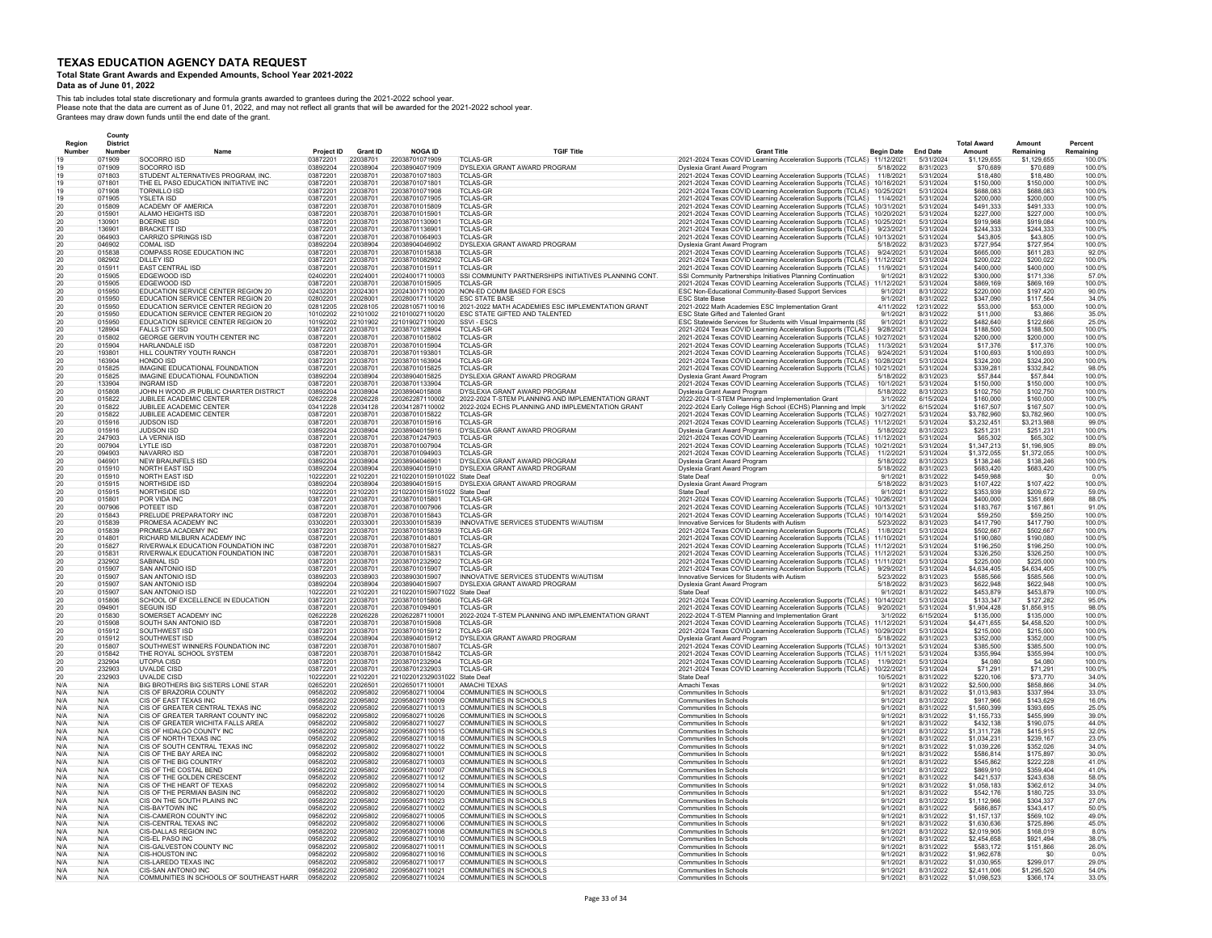# **Total State Grant Awards and Expended Amounts, School Year 2021-2022**

#### **Data as of June 01, 2022**

|                       |                  | County                    |                                                                  |                        |                      |                                                  |                                                                    |                                                                                                                              |                          |                        |                              |                              |                      |
|-----------------------|------------------|---------------------------|------------------------------------------------------------------|------------------------|----------------------|--------------------------------------------------|--------------------------------------------------------------------|------------------------------------------------------------------------------------------------------------------------------|--------------------------|------------------------|------------------------------|------------------------------|----------------------|
|                       | Region<br>Number | <b>District</b><br>Number |                                                                  |                        | <b>Grant ID</b>      | <b>NOGA ID</b>                                   | <b>TGIF Title</b>                                                  | <b>Grant Title</b>                                                                                                           | <b>Begin Date</b>        | <b>End Date</b>        | <b>Total Award</b><br>Amount | Amount<br>Remaining          | Percent<br>Remaining |
|                       |                  | 071909                    | SOCORRO ISD                                                      | Project ID<br>03872201 | 22038701             | 22038701071909                                   | <b>TCLAS-GR</b>                                                    | 2021-2024 Texas COVID Learning Acceleration Supports (TCLAS) 11/12/2021                                                      |                          | 5/31/2024              | \$1,129,655                  | \$1,129,655                  | 100.09               |
|                       |                  | 071909                    | SOCORRO ISD                                                      | 03892204               | 22038904             | 22038904071909                                   | DYSLEXIA GRANT AWARD PROGRAM                                       | Dyslexia Grant Award Program                                                                                                 | 5/18/2022                | 8/31/2023              | \$70,689                     | \$70,689                     | 100.0%               |
|                       |                  | 071803                    | STUDENT ALTERNATIVES PROGRAM, INC.                               | 03872201               | 22038701             | 22038701071803                                   | <b>TCLAS-GR</b>                                                    | 2021-2024 Texas COVID Learning Acceleration Supports (TCLAS)                                                                 | 11/8/2021                | 5/31/2024              | \$18,480                     | \$18,480                     | 100.0%               |
|                       |                  | 071801                    | THE EL PASO EDUCATION INITIATIVE INC                             | 03872201               | 22038701<br>22038701 | 22038701071801<br>22038701071908                 | <b>TCLAS-GR</b>                                                    | 2021-2024 Texas COVID Learning Acceleration Supports (TCLAS)                                                                 | 10/16/2021               | 5/31/2024              | \$150,000                    | \$150,000                    | 100.0%               |
|                       |                  | 071908<br>071905          | <b>TORNILLO ISD</b><br><b>YSLETA ISD</b>                         | 03872201<br>03872201   | 22038701             | 22038701071905                                   | <b>TCLAS-GR</b><br><b>TCLAS-GR</b>                                 | 2021-2024 Texas COVID Learning Acceleration Supports (TCLAS)<br>2021-2024 Texas COVID Learning Acceleration Supports (TCLAS) | 10/25/2021<br>11/4/2021  | 5/31/2024<br>5/31/2024 | \$688,083<br>\$200,000       | <b>S688 083</b><br>\$200,000 | 100.0%<br>100.0%     |
|                       |                  | 015809                    | ACADEMY OF AMERICA                                               | 03872201               | 22038701             | 22038701015809                                   | <b>TCLAS-GR</b>                                                    | 2021-2024 Texas COVID Learning Acceleration Supports (TCLAS)                                                                 | 10/31/2021               | 5/31/2024              | \$491,333                    | \$491,333                    | 100.0%               |
| $\overline{2}C$       |                  | 015901                    | ALAMO HEIGHTS ISD                                                | 03872201               | 22038701             | 22038701015901                                   | <b>TCLAS-GR</b>                                                    | 2021-2024 Texas COVID Learning Acceleration Supports (TCLAS)                                                                 | 10/20/2021               | 5/31/2024              | \$227,000                    | \$227,000                    | 100.09               |
|                       |                  | 130901                    | BOERNE ISD                                                       | 03872201               | 22038701             | 22038701130901                                   | <b>TCLAS-GR</b>                                                    | 2021-2024 Texas COVID Learning Acceleration Supports (TCLAS)                                                                 | 10/25/2021               | 5/31/2024              | \$919,968                    | \$919,084                    | 100.09               |
| $\overline{2}C$<br>20 |                  | 136901<br>064903          | <b>BRACKETT ISD</b><br>CARRIZO SPRINGS ISD                       | 03872201<br>03872201   | 22038701<br>22038701 | 22038701136901<br>22038701064903                 | <b>TCLAS-GR</b><br><b>TCLAS-GR</b>                                 | 2021-2024 Texas COVID Learning Acceleration Supports (TCLAS)<br>2021-2024 Texas COVID Learning Acceleration Supports (TCLAS) | 9/23/2021<br>10/13/2021  | 5/31/2024<br>5/31/2024 | \$244,333<br>\$43,805        | \$244,333<br>\$43,805        | 100.09<br>100.0%     |
| 20                    |                  | 046902                    | COMAL ISD                                                        | 03892204               | 22038904             | 22038904046902                                   | DYSLEXIA GRANT AWARD PROGRAM                                       | Dyslexia Grant Award Program                                                                                                 | 5/18/2022                | 8/31/2023              | \$727,954                    | \$727,954                    | 100.0%               |
| 20                    |                  | 015838                    | COMPASS ROSE EDUCATION INC                                       | 03872201               | 22038701             | 22038701015838                                   | TCLAS-GR                                                           | 2021-2024 Texas COVID Learning Acceleration Supports (TCLAS)                                                                 | 9/24/2021                | 5/31/2024              | \$665,000                    | \$611,283                    | 92.0%                |
| 20                    |                  | 082902                    | DILLEY ISD                                                       | 03872201               | 22038701             | 22038701082902                                   | <b>TCLAS-GR</b>                                                    | 2021-2024 Texas COVID Learning Acceleration Supports (TCLAS)                                                                 | 11/12/2021               | 5/31/2024              | \$200,022                    | \$200,022                    | 100.0%               |
| 20                    |                  | 015911                    | EAST CENTRAL ISD                                                 | 03872201               | 22038701             | 22038701015911                                   | <b>TCLAS-GR</b>                                                    | 2021-2024 Texas COVID Learning Acceleration Supports (TCLAS)                                                                 | 11/9/2021                | 5/31/2024              | \$400,000                    | \$400,000                    | 100.0%               |
| 20                    |                  | 015905<br>015905          | EDGEWOOD ISD<br><b>FDGEWOOD ISD</b>                              | 02402201<br>03872201   | 22024001<br>22038701 | 220240017110003<br>22038701015905                | SSI COMMUNITY PARTNERSHIPS INITIATIVES PLANNING CONT.<br>TCI AS-GR | SSI Community Partnerships Initiatives Planning Continuation                                                                 | 9/1/2021<br>11/12/2021   | 8/31/2022              | \$300,000<br>\$869 169       | \$171,336<br>\$869 169       | 57.0%<br>100.0%      |
| 20<br>20              |                  | 015950                    | EDUCATION SERVICE CENTER REGION 20                               | 02432201               | 22024301             | 220243017110020                                  | NON-ED COMM BASED FOR ESCS                                         | 2021-2024 Texas COVID Learning Acceleration Supports (TCLAS)<br>ESC Non-Educational Community-Based Support Services         | 9/1/2021                 | 5/31/2024<br>8/31/2022 | \$220,000                    | \$197,420                    | 90.0%                |
| 20                    |                  | 015950                    | EDUCATION SERVICE CENTER REGION 20                               | 02802201               | 22028001             | 220280017110020                                  | <b>ESC STATE BASE</b>                                              | <b>ESC State Base</b>                                                                                                        | 9/1/2021                 | 8/31/2022              | \$347.090                    | \$117.564                    | 34.0%                |
| 20                    |                  | 015950                    | EDUCATION SERVICE CENTER REGION 20                               | 02812205               | 22028105             | 220281057110016                                  | 2021-2022 MATH ACADEMIES ESC IMPLEMENTATION GRANT                  | 2021-2022 Math Academies ESC Implementation Grant                                                                            | 4/11/2022                | 12/31/2022             | \$53,000                     | \$53,000                     | 100.0%               |
| 20                    |                  | 015950                    | EDUCATION SERVICE CENTER REGION 20                               | 10102202               | 22101002             | 221010027110020                                  | ESC STATE GIFTED AND TALENTED                                      | ESC State Gifted and Talented Grant                                                                                          | 9/1/2021                 | 8/31/2022              | \$11,000                     | \$3,866                      | 35.0%                |
| 20                    |                  | 015950<br>128904          | EDUCATION SERVICE CENTER REGION 20<br>FALLS CITY ISD             | 10192202               | 22101902<br>22038701 | 221019027110020<br>22038701128904                | SSVI - ESCS                                                        | ESC Statewide Services for Students with Visual Impairments (SS                                                              | 9/1/2021                 | 8/31/2022              | \$482,640                    | \$122,666<br>\$188,500       | 25.0%<br>100.0%      |
| 20<br>$\overline{2}C$ |                  | 015802                    | GEORGE GERVIN YOUTH CENTER INC                                   | 03872201<br>03872201   | 22038701             | 22038701015802                                   | <b>TCLAS-GR</b><br><b>TCLAS-GR</b>                                 | 2021-2024 Texas COVID Learning Acceleration Supports (TCLAS)<br>2021-2024 Texas COVID Learning Acceleration Supports (TCLAS) | 9/28/2021<br>10/27/2021  | 5/31/2024<br>5/31/2024 | \$188,500<br>\$200,000       | \$200,000                    | 100.09               |
| 20                    |                  | 015904                    | HARLANDALE ISD                                                   | 03872201               | 22038701             | 22038701015904                                   | TCLAS-GR                                                           | 2021-2024 Texas COVID Learning Acceleration Supports (TCLAS)                                                                 | 11/3/2021                | 5/31/2024              | \$17,376                     | \$17,376                     | 100.0%               |
| 20                    |                  | 193801                    | HILL COUNTRY YOUTH RANCH                                         | 03872201               | 22038701             | 22038701193801                                   | <b>TCLAS-GR</b>                                                    | 2021-2024 Texas COVID Learning Acceleration Supports (TCLAS)                                                                 | 9/24/2021                | 5/31/2024              | \$100.693                    | \$100,693                    | 100.0%               |
| $\overline{20}$       |                  | 163904                    | HONDO ISD                                                        | 03872201               | 22038701             | 22038701163904                                   | <b>TCLAS-GR</b>                                                    | 2021-2024 Texas COVID Learning Acceleration Supports (TCLAS)                                                                 | 10/28/2021               | 5/31/2024              | \$324,200                    | \$324,200                    | 100.0%               |
| 20                    |                  | 015825<br>015825          | IMAGINE EDUCATIONAL FOUNDATION<br>IMAGINE EDUCATIONAL FOUNDATION | 03872201<br>03892204   | 22038701<br>22038904 | 22038701015825<br>22038904015825                 | TCI AS-GR<br>DYSLEXIA GRANT AWARD PROGRAM                          | 2021-2024 Texas COVID Learning Acceleration Supports (TCLAS)                                                                 | 10/21/2021<br>5/18/2022  | 5/31/2024<br>8/31/2023 | \$339.281<br>\$57,844        | \$332 842<br>S57 844         | 98.0%<br>100.0%      |
| 20<br>20              |                  | 133904                    | INGRAM ISD                                                       | 03872201               | 22038701             | 22038701133904                                   | TCI AS-GR                                                          | Dyslexia Grant Award Program<br>2021-2024 Texas COVID Learning Acceleration Supports (TCLAS)                                 | 10/1/2021                | 5/31/2024              | \$150,000                    | \$150,000                    | 100.0%               |
| 20                    |                  | 015808                    | JOHN H WOOD JR PUBLIC CHARTER DISTRICT                           | 03892204               | 22038904             | 22038904015808                                   | DYSLEXIA GRANT AWARD PROGRAM                                       | Dyslexia Grant Award Program                                                                                                 | 5/18/2022                | 8/31/2023              | \$102,750                    | \$102,750                    | 100.0%               |
| 20                    |                  | 015822                    | JUBILEE ACADEMIC CENTER                                          | 02622228               | 22026228             | 220262287110002                                  | 2022-2024 T-STEM PLANNING AND IMPLEMENTATION GRANT                 | 2022-2024 T-STEM Planning and Implementation Grant                                                                           | 3/1/2022                 | 6/15/2024              | \$160,000                    | \$160,000                    | 100.0%               |
|                       |                  | 015822                    | JUBILEE ACADEMIC CENTER                                          | 03412228               | 22034128             | 220341287110002                                  | 2022-2024 ECHS PLANNING AND IMPLEMENTATION GRANT                   | 2022-2024 Early College High School (ECHS) Planning and Imple                                                                | 3/1/2022                 | 6/15/2024              | \$167,507                    | \$167,507                    | 100.0%               |
| 20<br>$\overline{2}C$ |                  | 015822<br>015916          | JUBILEE ACADEMIC CENTER<br><b>JUDSON ISD</b>                     | 03872201               | 22038701<br>22038701 | 22038701015822<br>22038701015916                 | TCLAS-GR<br><b>TCLAS-GR</b>                                        | 2021-2024 Texas COVID Learning Acceleration Supports (TCLAS)                                                                 | 10/27/2021<br>11/12/2021 | 5/31/2024<br>5/31/2024 | \$3,782,960<br>\$3,232,451   | \$3,782,960<br>\$3,213,988   | 100.0%<br>99.0%      |
| $\overline{2}C$       |                  | 015916                    | <b>JUDSON ISD</b>                                                | 03872201<br>03892204   | 22038904             | 22038904015916                                   | DYSLEXIA GRANT AWARD PROGRAM                                       | 2021-2024 Texas COVID Learning Acceleration Supports (TCLAS)<br>Dyslexia Grant Award Program                                 | 5/18/2022                | 8/31/2023              | \$251,231                    | \$251,231                    | 100.0%               |
| 20                    |                  | 247903                    | LA VERNIA ISD                                                    | 03872201               | 22038701             | 22038701247903                                   | <b>TCLAS-GR</b>                                                    | 2021-2024 Texas COVID Learning Acceleration Supports (TCLAS)                                                                 | 11/12/2021               | 5/31/2024              | \$65,302                     | \$65,302                     | 100.0%               |
| $\overline{2}C$       |                  | 007904                    | <b>LYTLE ISD</b>                                                 | 03872201               | 22038701             | 22038701007904                                   | <b>TCLAS-GR</b>                                                    | 2021-2024 Texas COVID Learning Acceleration Supports (TCLAS)                                                                 | 10/21/2021               | 5/31/2024              | \$1,347,213                  | \$1,196,905                  | 89.0%                |
| 20                    |                  | 094903                    | NAVARRO ISD                                                      | 03872201               | 22038701             | 22038701094903                                   | <b>TCLAS-GR</b>                                                    | 2021-2024 Texas COVID Learning Acceleration Supports (TCLAS)                                                                 | 11/2/2021                | 5/31/2024              | \$1,372,055                  | \$1,372,055                  | 100.0%               |
| 20<br>20              |                  | 046901<br>015910          | NEW BRAUNFELS ISD<br><b>NORTH EAST ISD</b>                       | 03892204<br>03892204   | 22038904<br>22038904 | 22038904046901<br>22038904015910                 | DYSLEXIA GRANT AWARD PROGRAM<br>DYSLEXIA GRANT AWARD PROGRAM       | Dyslexia Grant Award Program<br>Dyslexia Grant Award Program                                                                 | 5/18/2022<br>5/18/2022   | 8/31/2023<br>8/31/2023 | \$138.246<br>\$683,420       | \$138,246<br>\$683,420       | 100.0%<br>100.0%     |
| 20                    |                  | 015910                    | NORTH FAST ISD                                                   | 10222201               | 22102201             | 221022010159101022 State Deaf                    |                                                                    | State Deaf                                                                                                                   | 9/1/2021                 | 8/31/2022              | \$459,988                    | \$C                          | 0.0%                 |
| 20                    |                  | 015915                    | NORTHSIDE ISD                                                    | 03892204               | 22038904             | 22038904015915                                   | DYSLEXIA GRANT AWARD PROGRAM                                       | Dyslexia Grant Award Program                                                                                                 | 5/18/2022                | 8/31/2023              | \$107.422                    | \$107,422                    | 100.0%               |
|                       |                  | 015915                    | NORTHSIDE ISD                                                    | 10222201               | 22102201             | 221022010159151022 State Deaf                    |                                                                    | State Deaf                                                                                                                   | 9/1/2021                 | 8/31/2022              | \$353,939                    | \$209,672                    | 59.0%                |
| 20                    |                  | 015801                    | POR VIDA INC                                                     | 03872201               | 22038701             | 22038701015801                                   | <b>TCLAS-GR</b>                                                    | 2021-2024 Texas COVID Learning Acceleration Supports (TCLAS)                                                                 | 10/26/2021               | 5/31/2024              | \$400,000                    | \$351,669                    | 88.0%                |
| 20<br>$\overline{2}C$ |                  | 007906<br>015843          | POTEET ISD<br>PRELUDE PREPARATORY INC                            | 03872201<br>03872201   | 22038701<br>22038701 | 22038701007906<br>22038701015843                 | <b>TCLAS-GR</b><br><b>TCLAS-GR</b>                                 | 2021-2024 Texas COVID Learning Acceleration Supports (TCLAS)<br>2021-2024 Texas COVID Learning Acceleration Supports (TCLAS) | 10/13/2021<br>10/14/2021 | 5/31/2024<br>5/31/2024 | \$183,767<br>\$59,250        | \$167,861<br>\$59,250        | 91.0%<br>100.0%      |
| 20                    |                  | 015839                    | PROMESA ACADEMY INC                                              | 03302201               | 22033001             | 22033001015839                                   | INNOVATIVE SERVICES STUDENTS W/AUTISM                              | Innovative Services for Students with Autism                                                                                 | 5/23/2022                | 8/31/2023              | \$417,790                    | \$417,790                    | 100.0%               |
| 20                    |                  | 015839                    | PROMESA ACADEMY INC                                              | 03872201               | 22038701             | 22038701015839                                   | TCLAS-GR                                                           | 2021-2024 Texas COVID Learning Acceleration Supports (TCLAS)                                                                 | 11/8/2021                | 5/31/2024              | \$502,667                    | \$502,667                    | 100.0%               |
| $\overline{2}C$       |                  | 014801                    | RICHARD MILBURN ACADEMY INC                                      | 03872201               | 22038701             | 22038701014801                                   | <b>TCLAS-GF</b>                                                    | 2021-2024 Texas COVID Learning Acceleration Supports (TCLAS)                                                                 | 11/10/2021               | 5/31/2024              | \$190,080                    | \$190,080                    | 100.0%               |
| 20<br>20              |                  | 015827<br>015831          | RIVERWALK EDUCATION FOUNDATION INC                               | 03872201<br>03872201   | 22038701<br>22038701 | 22038701015827<br>22038701015831                 | <b>TCLAS-GR</b><br><b>TCLAS-GR</b>                                 | 2021-2024 Texas COVID Learning Acceleration Supports (TCLAS)                                                                 | 11/12/2021               | 5/31/2024<br>5/31/2024 | \$196,250<br>\$326.250       | \$196,250<br>\$326.250       | 100.0%<br>100.0%     |
| 20                    |                  | 232902                    | RIVERWALK EDUCATION FOUNDATION INC<br>SABINAL ISD                | 03872201               | 22038701             | 22038701232902                                   | <b>TCLAS-GR</b>                                                    | 2021-2024 Texas COVID Learning Acceleration Supports (TCLAS)<br>2021-2024 Texas COVID Learning Acceleration Supports (TCLAS) | 11/12/2021<br>11/11/2021 | 5/31/2024              | \$225,000                    | \$225,000                    | 100.0%               |
| 20                    |                  | 015907                    | <b>SAN ANTONIO ISD</b>                                           | 03872201               | 22038701             | 22038701015907                                   | <b>TCLAS-GR</b>                                                    | 2021-2024 Texas COVID Learning Acceleration Supports (TCLAS)                                                                 | 9/29/2021                | 5/31/2024              | \$4 634 405                  | \$4 634 405                  | 100.0%               |
| 20                    |                  | 015907                    | SAN ANTONIO ISD                                                  | 03892203               | 22038903             | 22038903015907                                   | INNOVATIVE SERVICES STUDENTS W/AUTISM                              | Innovative Services for Students with Autism                                                                                 | 5/23/2022                | 8/31/2023              | \$585,566                    | \$585.566                    | 100.0%               |
| 20                    |                  | 015907                    | <b>SAN ANTONIO ISD</b>                                           | 03892204               | 22038904             | 22038904015907                                   | DYSLEXIA GRANT AWARD PROGRAM                                       | Dyslexia Grant Award Program                                                                                                 | 5/18/2022                | 8/31/2023              | \$622,948                    | \$622,948                    | 100.09               |
| 20<br>20              |                  | 015907<br>015806          | SAN ANTONIO ISD<br>SCHOOL OF EXCELLENCE IN EDUCATION             | 10222201<br>03872201   | 22102201<br>22038701 | 221022010159071022 State Deaf<br>22038701015806  | TCLAS-GR                                                           | State Deaf<br>2021-2024 Texas COVID Learning Acceleration Supports (TCLAS)                                                   | 9/1/2021<br>10/14/2021   | 8/31/2022<br>5/31/2024 | \$453,879<br>\$133,347       | \$453,879<br>\$127,282       | 100.0%<br>95.0%      |
| 20                    |                  | 094901                    | <b>SEGUIN ISD</b>                                                | 03872201               | 22038701             | 22038701094901                                   | TCLAS-GR                                                           | 2021-2024 Texas COVID Learning Acceleration Supports (TCLAS)                                                                 | 9/20/2021                | 5/31/2024              | \$1,904,428                  | \$1,856,915                  | 98.0%                |
| 20                    |                  | 015830                    | SOMERSET ACADEMY INC                                             | 02622228               | 22026228             | 22026228711000                                   | 2022-2024 T-STEM PLANNING AND IMPLEMENTATION GRANT                 | 2022-2024 T-STEM Planning and Implementation Grant                                                                           | 3/1/2022                 | 6/15/2024              | \$135,000                    | \$135,000                    | 100.0%               |
| 20                    |                  | 015908                    | SOUTH SAN ANTONIO ISD                                            | 03872201               | 22038701             | 22038701015908                                   | <b>TCLAS-GR</b>                                                    | 2021-2024 Texas COVID Learning Acceleration Supports (TCLAS)                                                                 | 11/12/2021               | 5/31/2024              | \$4,471,655                  | \$4,458,520                  | 100.09               |
| 20<br>20              |                  | 015912<br>015912          | SOUTHWEST ISD<br>SOUTHWEST ISD                                   | 03872201<br>03892204   | 22038701<br>22038904 | 22038701015912<br>22038904015912                 | <b>TCLAS-GR</b><br>DYSLEXIA GRANT AWARD PROGRAM                    | 2021-2024 Texas COVID Learning Acceleration Supports (TCLAS)                                                                 | 10/29/2021<br>5/18/2022  | 5/31/2024<br>8/31/2023 | \$215,000<br>\$352,000       | \$215,000<br>\$352,000       | 100.0%<br>100.0%     |
| 20                    |                  | 015807                    | SOUTHWEST WINNERS FOUNDATION INC                                 | 03872201               | 22038701             | 22038701015807                                   | TCI AS-GR                                                          | Dyslexia Grant Award Program<br>2021-2024 Texas COVID Learning Acceleration Supports (TCLAS)                                 | 10/13/2021               | 5/31/2024              | \$385,500                    | \$385,500                    | 100.0%               |
| 20                    |                  | 015842                    | THE ROYAL SCHOOL SYSTEM                                          | 03872201               | 22038701             | 22038701015842                                   | <b>TCI AS-GR</b>                                                   | 2021-2024 Texas COVID Learning Acceleration Supports (TCLAS)                                                                 | 11/11/2021               | 5/31/2024              | \$355,994                    | \$355.994                    | 100.0%               |
| 20                    |                  | 232904                    | <b>UTOPIA CISD</b>                                               | 03872201               | 22038701             | 22038701232904                                   | <b>TCI AS-GR</b>                                                   | 2021-2024 Texas COVID Learning Acceleration Supports (TCLAS)                                                                 | 11/9/2021                | 5/31/2024              | \$4,080                      | \$4,080                      | 100.0%               |
| 20                    |                  | 232903                    | <b>UVALDE CISD</b>                                               | 03872201               | 22038701             | 22038701232903                                   | <b>TCI AS-GR</b>                                                   | 2021-2024 Texas COVID Learning Acceleration Supports (TCLAS)                                                                 | 10/22/2021               | 5/31/2024              | \$71,291                     | \$71,291                     | 100.0%               |
| 20<br>N/A             |                  | 232903<br>N/A             | <b>UVALDE CISD</b><br>BIG BROTHERS BIG SISTERS LONE STAR         | 10222201<br>02652201   | 22102201<br>22026501 | 221022012329031022 State Deaf<br>220265017110001 | AMACHI TEXAS                                                       | <b>State Deaf</b><br>Amachi Texas                                                                                            | 10/5/2021<br>9/1/2021    | 8/31/2022<br>8/31/2022 | \$220,106<br>\$2,500,000     | \$73,770<br>\$858,866        | 34.0%<br>34.0%       |
| N/A                   |                  | N/A                       | CIS OF BRAZORIA COUNTY                                           | 09582202               | 22095802             | 220958027110004                                  | COMMUNITIES IN SCHOOLS                                             | Communities In Schools                                                                                                       | 9/1/2021                 | 8/31/2022              | \$1,013,983                  | \$337,994                    | 33.0%                |
| N/A                   |                  | N/A                       | CIS OF EAST TEXAS INC                                            | 09582202               | 22095802             | 220958027110009                                  | COMMUNITIES IN SCHOOLS                                             | Communities In Schools                                                                                                       | 9/1/2021                 | 8/31/2022              | \$917,966                    | \$143.629                    | 16.0%                |
| N/A                   |                  | N/A                       | CIS OF GREATER CENTRAL TEXAS INC                                 | 09582202               | 22095802             | 220958027110013                                  | COMMUNITIES IN SCHOOLS                                             | Communities In Schools                                                                                                       | 9/1/2021                 | 8/31/2022              | \$1,560,399                  | \$393.695                    | 25.0%                |
| N/A                   |                  | N/A                       | CIS OF GREATER TARRANT COUNTY INC                                | 09582202               | 22095802             | 220958027110026                                  | COMMUNITIES IN SCHOOLS                                             | Communities In Schools                                                                                                       | 9/1/2021                 | 8/31/2022              | \$1,155,733                  | \$455,999                    | 39.0%<br>44 0%       |
| N/A<br>N/A            |                  | N/A<br>N/A                | CIS OF GREATER WICHITA FALLS AREA<br>CIS OF HIDALGO COUNTY INC   | 09582202<br>09582202   | 22095802<br>22095802 | 220958027110027<br>220958027110015               | COMMUNITIES IN SCHOOLS<br>COMMUNITIES IN SCHOOLS                   | Communities In Schools<br><b>Communities In Schools</b>                                                                      | 9/1/2021<br>9/1/2021     | 8/31/2022<br>8/31/2022 | \$432,138<br>\$1,311,728     | \$190,075<br>\$415,915       | 32.0%                |
| N/A                   |                  | N/A                       | CIS OF NORTH TEXAS INC.                                          | 09582202               | 22095802             | 220958027110018                                  | COMMUNITIES IN SCHOOLS                                             | Communities In Schools                                                                                                       | 9/1/2021                 | 8/31/2022              | \$1 034 231                  | \$239,167                    | 23.0%                |
| N/A                   |                  | N/A                       | CIS OF SOUTH CENTRAL TEXAS INC                                   | 09582202               | 22095802             | 220958027110022                                  | COMMUNITIES IN SCHOOLS                                             | <b>Communities In Schools</b>                                                                                                | 9/1/2021                 | 8/31/2022              | \$1.039.226                  | \$352.026                    | 34.0%                |
| N/A                   |                  | N/A                       | CIS OF THE BAY AREA INC                                          | 09582202               | 22095802             | 220958027110001                                  | <b>COMMUNITIES IN SCHOOLS</b>                                      | <b>Communities In Schools</b>                                                                                                | 9/1/2021                 | 8/31/2022              | \$586,814                    | \$175.897                    | 30.0%                |
| N/A                   |                  | N/A                       | CIS OF THE BIG COUNTRY                                           | 09582202               | 22095802             | 220958027110003                                  | COMMUNITIES IN SCHOOLS                                             | <b>Communities In Schools</b>                                                                                                | 9/1/2021                 | 8/31/2022              | \$545.862                    | \$222,228                    | 41.0%                |
| N/A<br>N/A            |                  | N/A<br>N/A                | CIS OF THE COSTAL BEND<br>CIS OF THE GOLDEN CRESCENT             | 09582202<br>09582202   | 22095802<br>22095802 | 220958027110007<br>220958027110012               | COMMUNITIES IN SCHOOLS<br>COMMUNITIES IN SCHOOLS                   | Communities In Schools<br>Communities In Schools                                                                             | 9/1/2021<br>9/1/2021     | 8/31/2022<br>8/31/2022 | \$869,910<br>\$421.537       | \$359,404<br>\$243,638       | 41.0%<br>58.0%       |
| N/A                   |                  | N/A                       | CIS OF THE HEART OF TEXAS                                        | 09582202               | 22095802             | 220958027110014                                  | COMMUNITIES IN SCHOOLS                                             | Communities In Schools                                                                                                       | 9/1/2021                 | 8/31/2022              | \$1,058,183                  | \$362,612                    | 34.0%                |
| N/A                   |                  | N/A                       | CIS OF THE PERMIAN BASIN INC                                     | 09582202               | 22095802             | 220958027110020                                  | COMMUNITIES IN SCHOOLS                                             | Communities In Schools                                                                                                       | 9/1/2021                 | 8/31/2022              | \$542,176                    | \$180.725                    | 33.0%                |
| N/A                   |                  | N/A                       | CIS ON THE SOUTH PLAINS INC                                      | 09582202               | 22095802             | 220958027110023                                  | COMMUNITIES IN SCHOOLS                                             | <b>Communities In Schools</b>                                                                                                | 9/1/2021                 | 8/31/2022              | \$1,112,966                  | \$304,337                    | 27.0%                |
| N/A<br>N/A            |                  | N/A<br>N/A                | CIS-BAYTOWN INC<br>CIS-CAMERON COUNTY INC                        | 09582202<br>09582202   | 22095802<br>22095802 | 220958027110002<br>220958027110005               | COMMUNITIES IN SCHOOLS<br>COMMUNITIES IN SCHOOLS                   | Communities In Schools<br>Communities In Schools                                                                             | 9/1/2021<br>9/1/2021     | 8/31/2022<br>8/31/2022 | \$686,857<br>\$1,157,137     | \$343,417<br>\$569,102       | 50.0%<br>49.0%       |
| N/A                   |                  | N/A                       | CIS-CENTRAL TEXAS INC                                            | 09582202               | 22095802             | 220958027110006                                  | COMMUNITIES IN SCHOOLS                                             | <b>Communities In Schools</b>                                                                                                | 9/1/2021                 | 8/31/2022              | \$1,630,636                  | \$725,896                    | 45.0%                |
| N/A                   |                  | N/A                       | CIS-DALLAS REGION INC                                            | 09582202               | 22095802             | 220958027110008                                  | COMMUNITIES IN SCHOOLS                                             | <b>Communities In Schools</b>                                                                                                | 9/1/2021                 | 8/31/2022              | \$2.019.905                  | \$168,019                    | 8.0%                 |
| N/A                   |                  | N/A                       | CIS-FL PASO INC.                                                 | 09582202               | 22095802             | 220958027110010                                  | COMMUNITIES IN SCHOOLS                                             | <b>Communities In Schools</b>                                                                                                | 9/1/2021                 | 8/31/2022              | \$2,454,658                  | \$921 494                    | 38.0%                |
| N/A<br>N/A            |                  | N/A<br>N/A                | CIS-GALVESTON COUNTY INC<br>CIS-HOUSTON INC.                     | 09582202<br>09582202   | 22095802<br>22095802 | 220958027110011<br>220958027110016               | COMMUNITIES IN SCHOOLS<br>COMMUNITIES IN SCHOOLS                   | Communities In Schools<br><b>Communities In Schools</b>                                                                      | 9/1/2021<br>9/1/2021     | 8/31/2022<br>8/31/2022 | \$583 172<br>\$1,962,678     | \$151,866<br>-90             | 26.0%<br>0.0%        |
| N/A                   |                  | N/A                       | CIS-LAREDO TEXAS INC                                             | 09582202               | 22095802             | 220958027110017                                  | COMMUNITIES IN SCHOOLS                                             | Communities In Schools                                                                                                       | 9/1/2021                 | 8/31/2022              | \$1,030,955                  | \$299.017                    | 29.0%                |
| N/A                   |                  | N/A                       | CIS-SAN ANTONIO INC                                              | 09582202               | 22095802             | 220958027110021                                  | <b>COMMUNITIES IN SCHOOLS</b>                                      | <b>Communities In Schools</b>                                                                                                | 9/1/2021                 | 8/31/2022              | \$2,411,006                  | \$1,295,520                  | 54.0%                |
| N/A                   |                  | N/A                       | COMMUNITIES IN SCHOOLS OF SOUTHEAST HARR.                        | 09582202               | 22095802             | 220958027110024                                  | COMMUNITIES IN SCHOOLS                                             | Communities In Schools                                                                                                       | 9/1/2021                 | 8/31/2022              | \$1,098,523                  | \$366 174                    | 33.0%                |